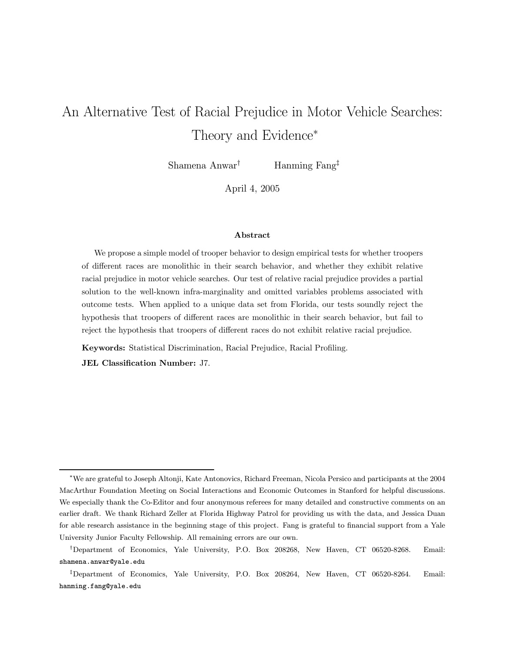# An Alternative Test of Racial Prejudice in Motor Vehicle Searches: Theory and Evidence<sup>∗</sup>

Shamena Anwar<sup>†</sup> Hanming Fang<sup>‡</sup>

April 4, 2005

#### Abstract

We propose a simple model of trooper behavior to design empirical tests for whether troopers of different races are monolithic in their search behavior, and whether they exhibit relative racial prejudice in motor vehicle searches. Our test of relative racial prejudice provides a partial solution to the well-known infra-marginality and omitted variables problems associated with outcome tests. When applied to a unique data set from Florida, our tests soundly reject the hypothesis that troopers of different races are monolithic in their search behavior, but fail to reject the hypothesis that troopers of different races do not exhibit relative racial prejudice.

Keywords: Statistical Discrimination, Racial Prejudice, Racial Profiling.

JEL Classification Number: J7.

<sup>∗</sup>We are grateful to Joseph Altonji, Kate Antonovics, Richard Freeman, Nicola Persico and participants at the 2004 MacArthur Foundation Meeting on Social Interactions and Economic Outcomes in Stanford for helpful discussions. We especially thank the Co-Editor and four anonymous referees for many detailed and constructive comments on an earlier draft. We thank Richard Zeller at Florida Highway Patrol for providing us with the data, and Jessica Duan for able research assistance in the beginning stage of this project. Fang is grateful to financial support from a Yale University Junior Faculty Fellowship. All remaining errors are our own.

<sup>†</sup>Department of Economics, Yale University, P.O. Box 208268, New Haven, CT 06520-8268. Email: shamena.anwar@yale.edu

<sup>‡</sup>Department of Economics, Yale University, P.O. Box 208264, New Haven, CT 06520-8264. Email: hanming.fang@yale.edu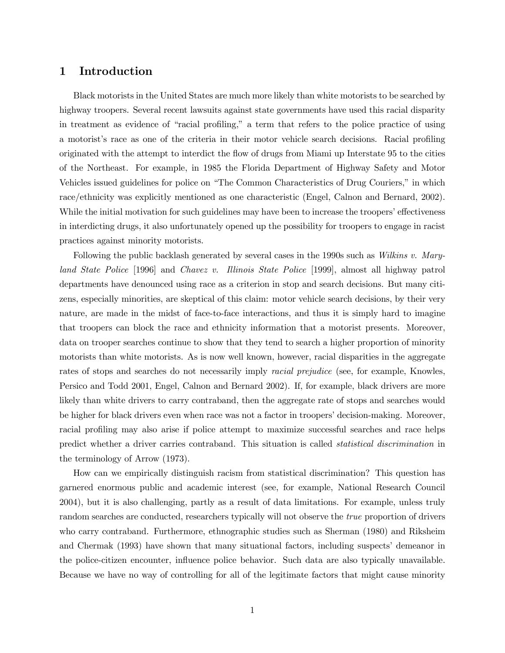#### 1 Introduction

Black motorists in the United States are much more likely than white motorists to be searched by highway troopers. Several recent lawsuits against state governments have used this racial disparity in treatment as evidence of "racial profiling," a term that refers to the police practice of using a motorist's race as one of the criteria in their motor vehicle search decisions. Racial profiling originated with the attempt to interdict the flow of drugs from Miami up Interstate 95 to the cities of the Northeast. For example, in 1985 the Florida Department of Highway Safety and Motor Vehicles issued guidelines for police on "The Common Characteristics of Drug Couriers," in which race/ethnicity was explicitly mentioned as one characteristic (Engel, Calnon and Bernard, 2002). While the initial motivation for such guidelines may have been to increase the troopers' effectiveness in interdicting drugs, it also unfortunately opened up the possibility for troopers to engage in racist practices against minority motorists.

Following the public backlash generated by several cases in the 1990s such as Wilkins v. Maryland State Police [1996] and Chavez v. Illinois State Police [1999], almost all highway patrol departments have denounced using race as a criterion in stop and search decisions. But many citizens, especially minorities, are skeptical of this claim: motor vehicle search decisions, by their very nature, are made in the midst of face-to-face interactions, and thus it is simply hard to imagine that troopers can block the race and ethnicity information that a motorist presents. Moreover, data on trooper searches continue to show that they tend to search a higher proportion of minority motorists than white motorists. As is now well known, however, racial disparities in the aggregate rates of stops and searches do not necessarily imply *racial prejudice* (see, for example, Knowles, Persico and Todd 2001, Engel, Calnon and Bernard 2002). If, for example, black drivers are more likely than white drivers to carry contraband, then the aggregate rate of stops and searches would be higher for black drivers even when race was not a factor in troopers' decision-making. Moreover, racial profiling may also arise if police attempt to maximize successful searches and race helps predict whether a driver carries contraband. This situation is called statistical discrimination in the terminology of Arrow (1973).

How can we empirically distinguish racism from statistical discrimination? This question has garnered enormous public and academic interest (see, for example, National Research Council 2004), but it is also challenging, partly as a result of data limitations. For example, unless truly random searches are conducted, researchers typically will not observe the *true* proportion of drivers who carry contraband. Furthermore, ethnographic studies such as Sherman (1980) and Riksheim and Chermak (1993) have shown that many situational factors, including suspects' demeanor in the police-citizen encounter, influence police behavior. Such data are also typically unavailable. Because we have no way of controlling for all of the legitimate factors that might cause minority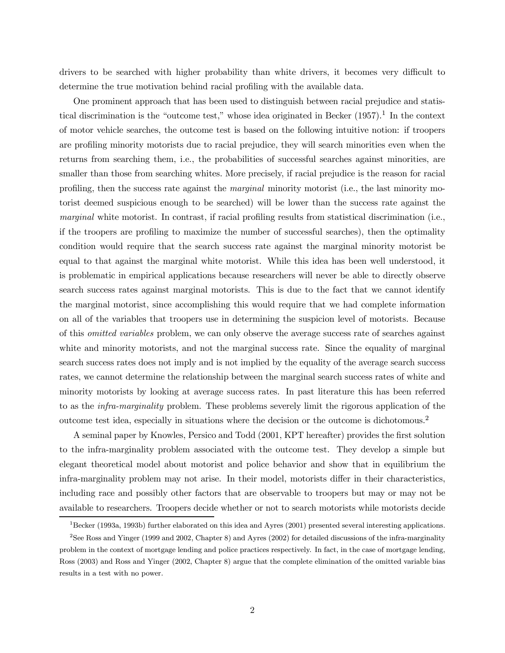drivers to be searched with higher probability than white drivers, it becomes very difficult to determine the true motivation behind racial profiling with the available data.

One prominent approach that has been used to distinguish between racial prejudice and statistical discrimination is the "outcome test," whose idea originated in Becker  $(1957).$ <sup>1</sup> In the context of motor vehicle searches, the outcome test is based on the following intuitive notion: if troopers are profiling minority motorists due to racial prejudice, they will search minorities even when the returns from searching them, i.e., the probabilities of successful searches against minorities, are smaller than those from searching whites. More precisely, if racial prejudice is the reason for racial profiling, then the success rate against the marginal minority motorist (i.e., the last minority motorist deemed suspicious enough to be searched) will be lower than the success rate against the marginal white motorist. In contrast, if racial profiling results from statistical discrimination (i.e., if the troopers are profiling to maximize the number of successful searches), then the optimality condition would require that the search success rate against the marginal minority motorist be equal to that against the marginal white motorist. While this idea has been well understood, it is problematic in empirical applications because researchers will never be able to directly observe search success rates against marginal motorists. This is due to the fact that we cannot identify the marginal motorist, since accomplishing this would require that we had complete information on all of the variables that troopers use in determining the suspicion level of motorists. Because of this omitted variables problem, we can only observe the average success rate of searches against white and minority motorists, and not the marginal success rate. Since the equality of marginal search success rates does not imply and is not implied by the equality of the average search success rates, we cannot determine the relationship between the marginal search success rates of white and minority motorists by looking at average success rates. In past literature this has been referred to as the infra-marginality problem. These problems severely limit the rigorous application of the outcome test idea, especially in situations where the decision or the outcome is dichotomous.<sup>2</sup>

A seminal paper by Knowles, Persico and Todd (2001, KPT hereafter) provides the first solution to the infra-marginality problem associated with the outcome test. They develop a simple but elegant theoretical model about motorist and police behavior and show that in equilibrium the infra-marginality problem may not arise. In their model, motorists differ in their characteristics, including race and possibly other factors that are observable to troopers but may or may not be available to researchers. Troopers decide whether or not to search motorists while motorists decide

<sup>&</sup>lt;sup>1</sup>Becker (1993a, 1993b) further elaborated on this idea and Ayres (2001) presented several interesting applications.

<sup>2</sup>See Ross and Yinger (1999 and 2002, Chapter 8) and Ayres (2002) for detailed discussions of the infra-marginality problem in the context of mortgage lending and police practices respectively. In fact, in the case of mortgage lending, Ross (2003) and Ross and Yinger (2002, Chapter 8) argue that the complete elimination of the omitted variable bias results in a test with no power.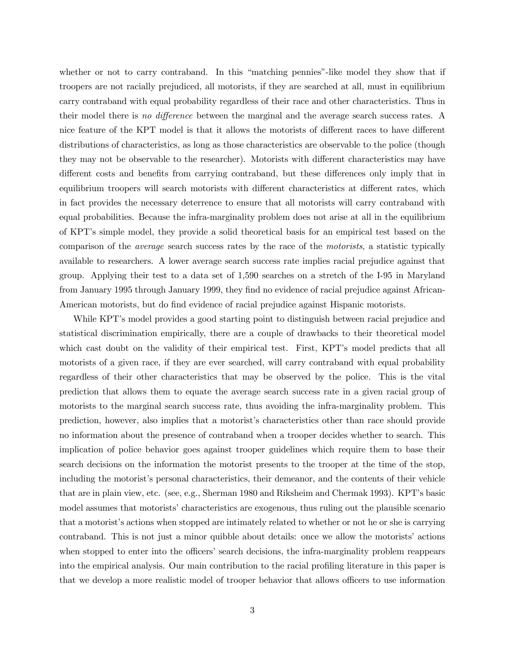whether or not to carry contraband. In this "matching pennies"-like model they show that if troopers are not racially prejudiced, all motorists, if they are searched at all, must in equilibrium carry contraband with equal probability regardless of their race and other characteristics. Thus in their model there is no difference between the marginal and the average search success rates. A nice feature of the KPT model is that it allows the motorists of different races to have different distributions of characteristics, as long as those characteristics are observable to the police (though they may not be observable to the researcher). Motorists with different characteristics may have different costs and benefits from carrying contraband, but these differences only imply that in equilibrium troopers will search motorists with different characteristics at different rates, which in fact provides the necessary deterrence to ensure that all motorists will carry contraband with equal probabilities. Because the infra-marginality problem does not arise at all in the equilibrium of KPT's simple model, they provide a solid theoretical basis for an empirical test based on the comparison of the average search success rates by the race of the motorists, a statistic typically available to researchers. A lower average search success rate implies racial prejudice against that group. Applying their test to a data set of 1,590 searches on a stretch of the I-95 in Maryland from January 1995 through January 1999, they find no evidence of racial prejudice against African-American motorists, but do find evidence of racial prejudice against Hispanic motorists.

While KPT's model provides a good starting point to distinguish between racial prejudice and statistical discrimination empirically, there are a couple of drawbacks to their theoretical model which cast doubt on the validity of their empirical test. First, KPT's model predicts that all motorists of a given race, if they are ever searched, will carry contraband with equal probability regardless of their other characteristics that may be observed by the police. This is the vital prediction that allows them to equate the average search success rate in a given racial group of motorists to the marginal search success rate, thus avoiding the infra-marginality problem. This prediction, however, also implies that a motorist's characteristics other than race should provide no information about the presence of contraband when a trooper decides whether to search. This implication of police behavior goes against trooper guidelines which require them to base their search decisions on the information the motorist presents to the trooper at the time of the stop, including the motorist's personal characteristics, their demeanor, and the contents of their vehicle that are in plain view, etc. (see, e.g., Sherman 1980 and Riksheim and Chermak 1993). KPT's basic model assumes that motorists' characteristics are exogenous, thus ruling out the plausible scenario that a motorist's actions when stopped are intimately related to whether or not he or she is carrying contraband. This is not just a minor quibble about details: once we allow the motorists' actions when stopped to enter into the officers' search decisions, the infra-marginality problem reappears into the empirical analysis. Our main contribution to the racial profiling literature in this paper is that we develop a more realistic model of trooper behavior that allows officers to use information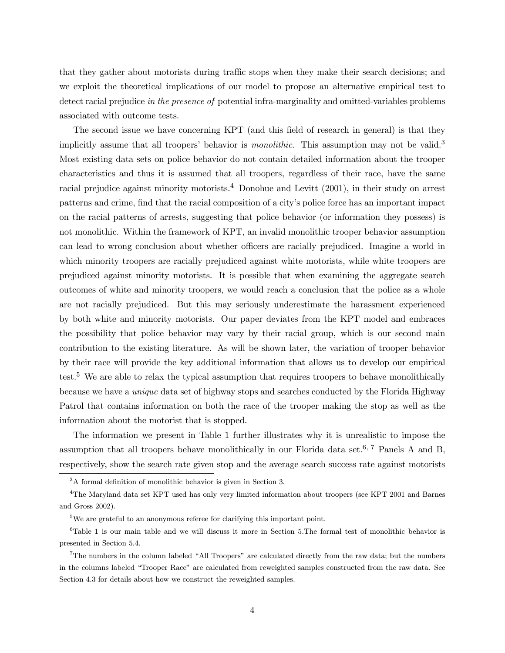that they gather about motorists during traffic stops when they make their search decisions; and we exploit the theoretical implications of our model to propose an alternative empirical test to detect racial prejudice in the presence of potential infra-marginality and omitted-variables problems associated with outcome tests.

The second issue we have concerning KPT (and this field of research in general) is that they implicitly assume that all troopers' behavior is *monolithic*. This assumption may not be valid.<sup>3</sup> Most existing data sets on police behavior do not contain detailed information about the trooper characteristics and thus it is assumed that all troopers, regardless of their race, have the same racial prejudice against minority motorists.<sup>4</sup> Donohue and Levitt (2001), in their study on arrest patterns and crime, find that the racial composition of a city's police force has an important impact on the racial patterns of arrests, suggesting that police behavior (or information they possess) is not monolithic. Within the framework of KPT, an invalid monolithic trooper behavior assumption can lead to wrong conclusion about whether officers are racially prejudiced. Imagine a world in which minority troopers are racially prejudiced against white motorists, while white troopers are prejudiced against minority motorists. It is possible that when examining the aggregate search outcomes of white and minority troopers, we would reach a conclusion that the police as a whole are not racially prejudiced. But this may seriously underestimate the harassment experienced by both white and minority motorists. Our paper deviates from the KPT model and embraces the possibility that police behavior may vary by their racial group, which is our second main contribution to the existing literature. As will be shown later, the variation of trooper behavior by their race will provide the key additional information that allows us to develop our empirical test.<sup>5</sup> We are able to relax the typical assumption that requires troopers to behave monolithically because we have a unique data set of highway stops and searches conducted by the Florida Highway Patrol that contains information on both the race of the trooper making the stop as well as the information about the motorist that is stopped.

The information we present in Table 1 further illustrates why it is unrealistic to impose the assumption that all troopers behave monolithically in our Florida data set.<sup>6, 7</sup> Panels A and B, respectively, show the search rate given stop and the average search success rate against motorists

<sup>3</sup>A formal definition of monolithic behavior is given in Section 3.

<sup>4</sup>The Maryland data set KPT used has only very limited information about troopers (see KPT 2001 and Barnes and Gross 2002).

<sup>&</sup>lt;sup>5</sup>We are grateful to an anonymous referee for clarifying this important point.

 $6$ Table 1 is our main table and we will discuss it more in Section 5. The formal test of monolithic behavior is presented in Section 5.4.

<sup>7</sup>The numbers in the column labeled "All Troopers" are calculated directly from the raw data; but the numbers in the columns labeled "Trooper Race" are calculated from reweighted samples constructed from the raw data. See Section 4.3 for details about how we construct the reweighted samples.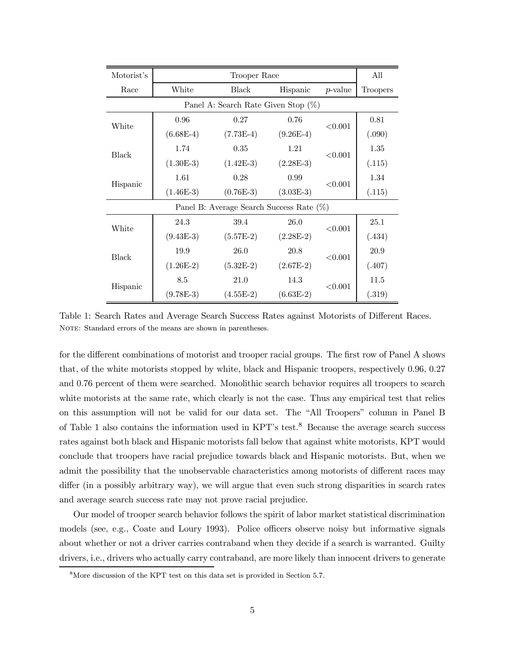| Motorist's                                  |                                        | All         |             |            |                 |  |  |
|---------------------------------------------|----------------------------------------|-------------|-------------|------------|-----------------|--|--|
| Race                                        | White                                  | Black       | Hispanic    | $p$ -value | <b>Troopers</b> |  |  |
|                                             | Panel A: Search Rate Given Stop $(\%)$ |             |             |            |                 |  |  |
| White                                       | 0.96                                   | 0.27        | 0.76        | < 0.001    | 0.81            |  |  |
|                                             | $(6.68E-4)$                            | $(7.73E-4)$ | $(9.26E-4)$ |            | (.090)          |  |  |
| <b>Black</b>                                | 1.74                                   | 0.35        | 1.21        | < 0.001    | 1.35            |  |  |
|                                             | $(1.30E-3)$                            | $(1.42E-3)$ | $(2.28E-3)$ |            | (.115)          |  |  |
| Hispanic                                    | 1.61                                   | 0.28        | 0.99        | < 0.001    | 1.34            |  |  |
|                                             | $(1.46E-3)$                            | $(0.76E-3)$ | $(3.03E-3)$ |            | (.115)          |  |  |
| Panel B: Average Search Success Rate $(\%)$ |                                        |             |             |            |                 |  |  |
| White                                       | 24.3                                   | 39.4        | 26.0        | < 0.001    | 25.1            |  |  |
|                                             | $(9.43E-3)$                            | $(5.57E-2)$ | $(2.28E-2)$ |            | (.434)          |  |  |
| <b>Black</b>                                | 19.9                                   | 26.0        | 20.8        | < 0.001    | 20.9            |  |  |
|                                             | $(1.26E-2)$                            | $(5.32E-2)$ | $(2.67E-2)$ |            | (.407)          |  |  |
|                                             | 8.5                                    | 21.0        | 14.3        | < 0.001    | 11.5            |  |  |
| Hispanic                                    | $(9.78E-3)$                            | $(4.55E-2)$ | $(6.63E-2)$ |            | (.319)          |  |  |

Table 1: Search Rates and Average Search Success Rates against Motorists of Different Races. NOTE: Standard errors of the means are shown in parentheses.

for the different combinations of motorist and trooper racial groups. The first row of Panel A shows that, of the white motorists stopped by white, black and Hispanic troopers, respectively 0.96, 0.27 and 0.76 percent of them were searched. Monolithic search behavior requires all troopers to search white motorists at the same rate, which clearly is not the case. Thus any empirical test that relies on this assumption will not be valid for our data set. The "All Troopers" column in Panel B of Table 1 also contains the information used in KPT's test.<sup>8</sup> Because the average search success rates against both black and Hispanic motorists fall below that against white motorists, KPT would conclude that troopers have racial prejudice towards black and Hispanic motorists. But, when we admit the possibility that the unobservable characteristics among motorists of different races may differ (in a possibly arbitrary way), we will argue that even such strong disparities in search rates and average search success rate may not prove racial prejudice.

Our model of trooper search behavior follows the spirit of labor market statistical discrimination models (see, e.g., Coate and Loury 1993). Police officers observe noisy but informative signals about whether or not a driver carries contraband when they decide if a search is warranted. Guilty drivers, i.e., drivers who actually carry contraband, are more likely than innocent drivers to generate

<sup>8</sup>More discussion of the KPT test on this data set is provided in Section 5.7.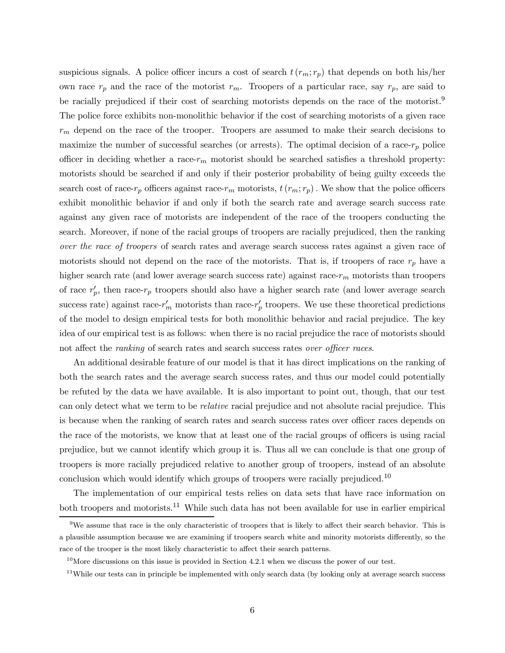suspicious signals. A police officer incurs a cost of search  $t(r_m; r_p)$  that depends on both his/her own race  $r_p$  and the race of the motorist  $r_m$ . Troopers of a particular race, say  $r_p$ , are said to be racially prejudiced if their cost of searching motorists depends on the race of the motorist.<sup>9</sup> The police force exhibits non-monolithic behavior if the cost of searching motorists of a given race  $r_m$  depend on the race of the trooper. Troopers are assumed to make their search decisions to maximize the number of successful searches (or arrests). The optimal decision of a race- $r_p$  police officer in deciding whether a race- $r_m$  motorist should be searched satisfies a threshold property: motorists should be searched if and only if their posterior probability of being guilty exceeds the search cost of race- $r_p$  officers against race- $r_m$  motorists,  $t(r_m; r_p)$ . We show that the police officers exhibit monolithic behavior if and only if both the search rate and average search success rate against any given race of motorists are independent of the race of the troopers conducting the search. Moreover, if none of the racial groups of troopers are racially prejudiced, then the ranking over the race of troopers of search rates and average search success rates against a given race of motorists should not depend on the race of the motorists. That is, if troopers of race  $r_p$  have a higher search rate (and lower average search success rate) against race- $r_m$  motorists than troopers of race  $r'_p$ , then race- $r_p$  troopers should also have a higher search rate (and lower average search success rate) against race- $r'_m$  motorists than race- $r'_p$  troopers. We use these theoretical predictions of the model to design empirical tests for both monolithic behavior and racial prejudice. The key idea of our empirical test is as follows: when there is no racial prejudice the race of motorists should not affect the ranking of search rates and search success rates over officer races.

An additional desirable feature of our model is that it has direct implications on the ranking of both the search rates and the average search success rates, and thus our model could potentially be refuted by the data we have available. It is also important to point out, though, that our test can only detect what we term to be relative racial prejudice and not absolute racial prejudice. This is because when the ranking of search rates and search success rates over officer races depends on the race of the motorists, we know that at least one of the racial groups of officers is using racial prejudice, but we cannot identify which group it is. Thus all we can conclude is that one group of troopers is more racially prejudiced relative to another group of troopers, instead of an absolute conclusion which would identify which groups of troopers were racially prejudiced.<sup>10</sup>

The implementation of our empirical tests relies on data sets that have race information on both troopers and motorists.<sup>11</sup> While such data has not been available for use in earlier empirical

 $9$ We assume that race is the only characteristic of troopers that is likely to affect their search behavior. This is a plausible assumption because we are examining if troopers search white and minority motorists differently, so the race of the trooper is the most likely characteristic to affect their search patterns.

 $10$ More discussions on this issue is provided in Section 4.2.1 when we discuss the power of our test.

 $11$ While our tests can in principle be implemented with only search data (by looking only at average search success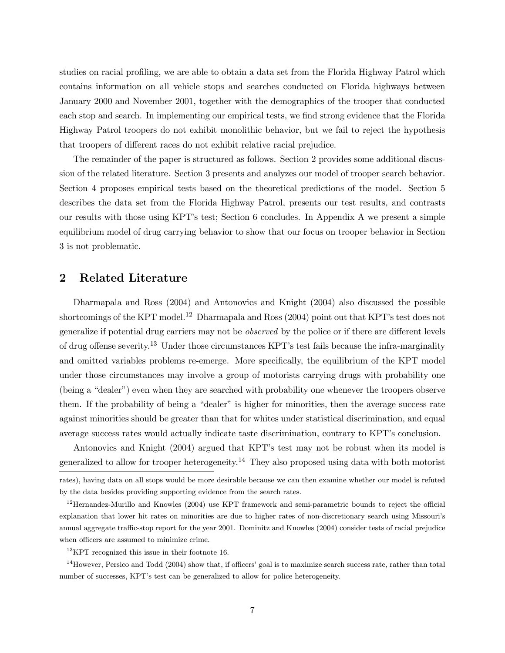studies on racial profiling, we are able to obtain a data set from the Florida Highway Patrol which contains information on all vehicle stops and searches conducted on Florida highways between January 2000 and November 2001, together with the demographics of the trooper that conducted each stop and search. In implementing our empirical tests, we find strong evidence that the Florida Highway Patrol troopers do not exhibit monolithic behavior, but we fail to reject the hypothesis that troopers of different races do not exhibit relative racial prejudice.

The remainder of the paper is structured as follows. Section 2 provides some additional discussion of the related literature. Section 3 presents and analyzes our model of trooper search behavior. Section 4 proposes empirical tests based on the theoretical predictions of the model. Section 5 describes the data set from the Florida Highway Patrol, presents our test results, and contrasts our results with those using KPT's test; Section 6 concludes. In Appendix A we present a simple equilibrium model of drug carrying behavior to show that our focus on trooper behavior in Section 3 is not problematic.

# 2 Related Literature

Dharmapala and Ross (2004) and Antonovics and Knight (2004) also discussed the possible shortcomings of the KPT model.<sup>12</sup> Dharmapala and Ross (2004) point out that KPT's test does not generalize if potential drug carriers may not be observed by the police or if there are different levels of drug offense severity.<sup>13</sup> Under those circumstances KPT's test fails because the infra-marginality and omitted variables problems re-emerge. More specifically, the equilibrium of the KPT model under those circumstances may involve a group of motorists carrying drugs with probability one (being a "dealer") even when they are searched with probability one whenever the troopers observe them. If the probability of being a "dealer" is higher for minorities, then the average success rate against minorities should be greater than that for whites under statistical discrimination, and equal average success rates would actually indicate taste discrimination, contrary to KPT's conclusion.

Antonovics and Knight (2004) argued that KPT's test may not be robust when its model is generalized to allow for trooper heterogeneity.<sup>14</sup> They also proposed using data with both motorist

 $13$ KPT recognized this issue in their footnote 16.

 $14$ However, Persico and Todd (2004) show that, if officers' goal is to maximize search success rate, rather than total number of successes, KPT's test can be generalized to allow for police heterogeneity.

rates), having data on all stops would be more desirable because we can then examine whether our model is refuted by the data besides providing supporting evidence from the search rates.

<sup>&</sup>lt;sup>12</sup>Hernandez-Murillo and Knowles (2004) use KPT framework and semi-parametric bounds to reject the official explanation that lower hit rates on minorities are due to higher rates of non-discretionary search using Missouri's annual aggregate traffic-stop report for the year 2001. Dominitz and Knowles (2004) consider tests of racial prejudice when officers are assumed to minimize crime.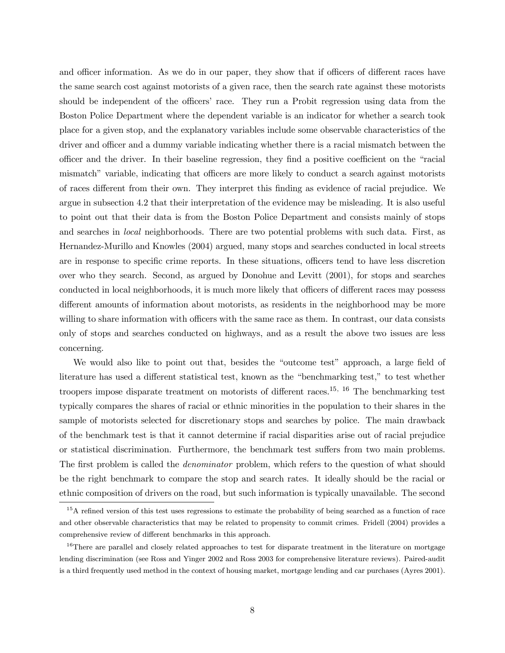and officer information. As we do in our paper, they show that if officers of different races have the same search cost against motorists of a given race, then the search rate against these motorists should be independent of the officers' race. They run a Probit regression using data from the Boston Police Department where the dependent variable is an indicator for whether a search took place for a given stop, and the explanatory variables include some observable characteristics of the driver and officer and a dummy variable indicating whether there is a racial mismatch between the officer and the driver. In their baseline regression, they find a positive coefficient on the "racial mismatch" variable, indicating that officers are more likely to conduct a search against motorists of races different from their own. They interpret this finding as evidence of racial prejudice. We argue in subsection 4.2 that their interpretation of the evidence may be misleading. It is also useful to point out that their data is from the Boston Police Department and consists mainly of stops and searches in local neighborhoods. There are two potential problems with such data. First, as Hernandez-Murillo and Knowles (2004) argued, many stops and searches conducted in local streets are in response to specific crime reports. In these situations, officers tend to have less discretion over who they search. Second, as argued by Donohue and Levitt (2001), for stops and searches conducted in local neighborhoods, it is much more likely that officers of different races may possess different amounts of information about motorists, as residents in the neighborhood may be more willing to share information with officers with the same race as them. In contrast, our data consists only of stops and searches conducted on highways, and as a result the above two issues are less concerning.

We would also like to point out that, besides the "outcome test" approach, a large field of literature has used a different statistical test, known as the "benchmarking test," to test whether troopers impose disparate treatment on motorists of different races.15 <sup>16</sup> The benchmarking test typically compares the shares of racial or ethnic minorities in the population to their shares in the sample of motorists selected for discretionary stops and searches by police. The main drawback of the benchmark test is that it cannot determine if racial disparities arise out of racial prejudice or statistical discrimination. Furthermore, the benchmark test suffers from two main problems. The first problem is called the *denominator* problem, which refers to the question of what should be the right benchmark to compare the stop and search rates. It ideally should be the racial or ethnic composition of drivers on the road, but such information is typically unavailable. The second

 $15A$  refined version of this test uses regressions to estimate the probability of being searched as a function of race and other observable characteristics that may be related to propensity to commit crimes. Fridell (2004) provides a comprehensive review of different benchmarks in this approach.

<sup>&</sup>lt;sup>16</sup>There are parallel and closely related approaches to test for disparate treatment in the literature on mortgage lending discrimination (see Ross and Yinger 2002 and Ross 2003 for comprehensive literature reviews). Paired-audit is a third frequently used method in the context of housing market, mortgage lending and car purchases (Ayres 2001).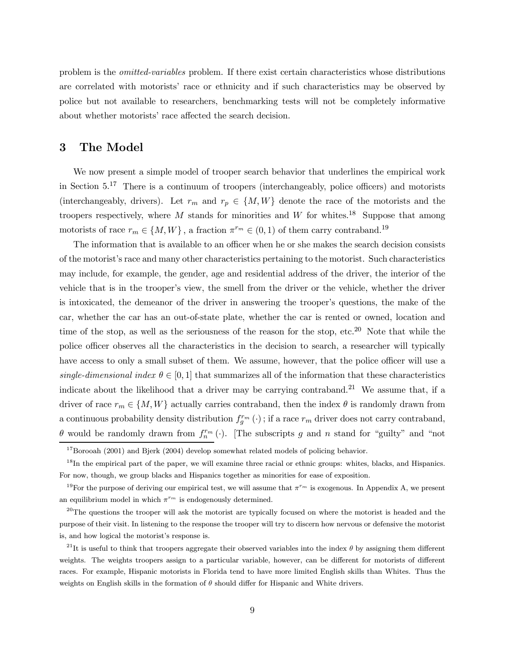problem is the omitted-variables problem. If there exist certain characteristics whose distributions are correlated with motorists' race or ethnicity and if such characteristics may be observed by police but not available to researchers, benchmarking tests will not be completely informative about whether motorists' race affected the search decision.

# 3 The Model

We now present a simple model of trooper search behavior that underlines the empirical work in Section 5.<sup>17</sup> There is a continuum of troopers (interchangeably, police officers) and motorists (interchangeably, drivers). Let  $r_m$  and  $r_p \in \{M, W\}$  denote the race of the motorists and the troopers respectively, where  $M$  stands for minorities and  $W$  for whites.<sup>18</sup> Suppose that among motorists of race  $r_m \in \{M, W\}$ , a fraction  $\pi^{r_m} \in (0, 1)$  of them carry contraband.<sup>19</sup>

The information that is available to an officer when he or she makes the search decision consists of the motorist's race and many other characteristics pertaining to the motorist. Such characteristics may include, for example, the gender, age and residential address of the driver, the interior of the vehicle that is in the trooper's view, the smell from the driver or the vehicle, whether the driver is intoxicated, the demeanor of the driver in answering the trooper's questions, the make of the car, whether the car has an out-of-state plate, whether the car is rented or owned, location and time of the stop, as well as the seriousness of the reason for the stop, etc.<sup>20</sup> Note that while the police officer observes all the characteristics in the decision to search, a researcher will typically have access to only a small subset of them. We assume, however, that the police officer will use a single-dimensional index  $\theta \in [0, 1]$  that summarizes all of the information that these characteristics indicate about the likelihood that a driver may be carrying contraband.<sup>21</sup> We assume that, if a driver of race  $r_m \in \{M, W\}$  actually carries contraband, then the index  $\theta$  is randomly drawn from a continuous probability density distribution  $f_g^{r_m}(\cdot)$ ; if a race  $r_m$  driver does not carry contraband,  $\theta$  would be randomly drawn from  $f_n^{r_m}(\cdot)$ . [The subscripts g and n stand for "guilty" and "not"

<sup>&</sup>lt;sup>17</sup>Borooah (2001) and Bjerk (2004) develop somewhat related models of policing behavior.

<sup>&</sup>lt;sup>18</sup>In the empirical part of the paper, we will examine three racial or ethnic groups: whites, blacks, and Hispanics. For now, though, we group blacks and Hispanics together as minorities for ease of exposition.

<sup>&</sup>lt;sup>19</sup>For the purpose of deriving our empirical test, we will assume that  $\pi^{r_m}$  is exogenous. In Appendix A, we present an equilibrium model in which  $\pi^{r_m}$  is endogenously determined.

 $^{20}$ The questions the trooper will ask the motorist are typically focused on where the motorist is headed and the purpose of their visit. In listening to the response the trooper will try to discern how nervous or defensive the motorist is, and how logical the motorist's response is.

<sup>&</sup>lt;sup>21</sup>It is useful to think that troopers aggregate their observed variables into the index  $\theta$  by assigning them different weights. The weights troopers assign to a particular variable, however, can be different for motorists of different races. For example, Hispanic motorists in Florida tend to have more limited English skills than Whites. Thus the weights on English skills in the formation of  $\theta$  should differ for Hispanic and White drivers.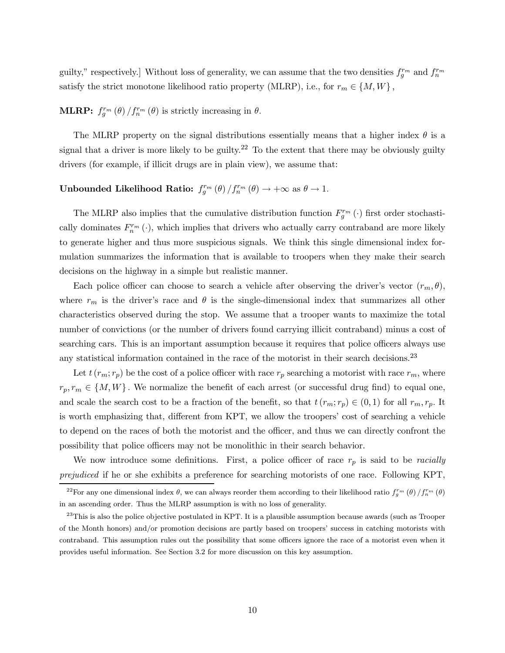guilty," respectively.] Without loss of generality, we can assume that the two densities  $f_g^{r_m}$  and  $f_n^{r_m}$ satisfy the strict monotone likelihood ratio property (MLRP), i.e., for  $r_m \in \{M, W\}$ ,

**MLRP:**  $f_{g}^{r_m}(\theta) / f_{n}^{r_m}(\theta)$  is strictly increasing in  $\theta$ .

The MLRP property on the signal distributions essentially means that a higher index  $\theta$  is a signal that a driver is more likely to be guilty.<sup>22</sup> To the extent that there may be obviously guilty drivers (for example, if illicit drugs are in plain view), we assume that:

# Unbounded Likelihood Ratio:  $f_g^{r_m}(\theta)/f_n^{r_m}(\theta) \to +\infty$  as  $\theta \to 1$ .

The MLRP also implies that the cumulative distribution function  $F_g^{r_m}(\cdot)$  first order stochastically dominates  $F_n^{r_m}(\cdot)$ , which implies that drivers who actually carry contraband are more likely to generate higher and thus more suspicious signals. We think this single dimensional index formulation summarizes the information that is available to troopers when they make their search decisions on the highway in a simple but realistic manner.

Each police officer can choose to search a vehicle after observing the driver's vector  $(r_m, \theta)$ , where  $r_m$  is the driver's race and  $\theta$  is the single-dimensional index that summarizes all other characteristics observed during the stop. We assume that a trooper wants to maximize the total number of convictions (or the number of drivers found carrying illicit contraband) minus a cost of searching cars. This is an important assumption because it requires that police officers always use any statistical information contained in the race of the motorist in their search decisions.<sup>23</sup>

Let  $t(r_m; r_p)$  be the cost of a police officer with race  $r_p$  searching a motorist with race  $r_m$ , where  $r_p, r_m \in \{M, W\}$ . We normalize the benefit of each arrest (or successful drug find) to equal one, and scale the search cost to be a fraction of the benefit, so that  $t(r_m; r_p) \in (0, 1)$  for all  $r_m, r_p$ . It is worth emphasizing that, different from KPT, we allow the troopers' cost of searching a vehicle to depend on the races of both the motorist and the officer, and thus we can directly confront the possibility that police officers may not be monolithic in their search behavior.

We now introduce some definitions. First, a police officer of race  $r_p$  is said to be *racially* prejudiced if he or she exhibits a preference for searching motorists of one race. Following KPT,

<sup>&</sup>lt;sup>22</sup>For any one dimensional index  $\theta$ , we can always reorder them according to their likelihood ratio  $f_g^{r_m}(\theta)/f_n^{r_m}(\theta)$ in an ascending order. Thus the MLRP assumption is with no loss of generality.

 $^{23}$ This is also the police objective postulated in KPT. It is a plausible assumption because awards (such as Trooper of the Month honors) and/or promotion decisions are partly based on troopers' success in catching motorists with contraband. This assumption rules out the possibility that some officers ignore the race of a motorist even when it provides useful information. See Section 3.2 for more discussion on this key assumption.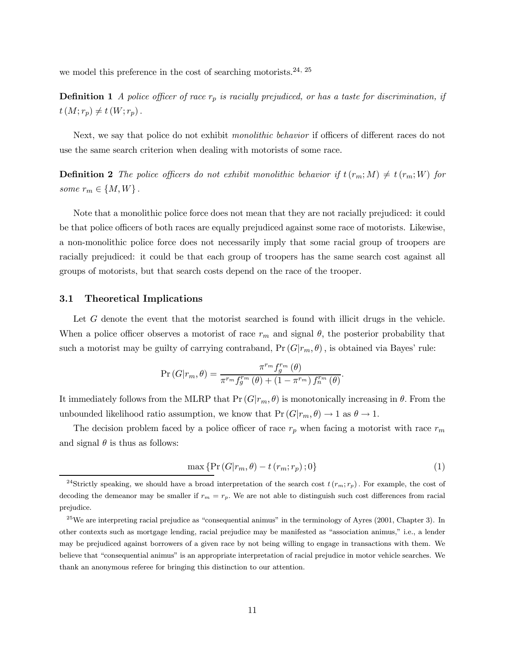we model this preference in the cost of searching motorists.<sup>24, 25</sup>

**Definition 1** A police officer of race  $r_p$  is racially prejudiced, or has a taste for discrimination, if  $t(M;r_p) \neq t(W;r_p)$ .

Next, we say that police do not exhibit monolithic behavior if officers of different races do not use the same search criterion when dealing with motorists of some race.

**Definition 2** The police officers do not exhibit monolithic behavior if  $t(r_m; M) \neq t(r_m; W)$  for some  $r_m \in \{M, W\}$ .

Note that a monolithic police force does not mean that they are not racially prejudiced: it could be that police officers of both races are equally prejudiced against some race of motorists. Likewise, a non-monolithic police force does not necessarily imply that some racial group of troopers are racially prejudiced: it could be that each group of troopers has the same search cost against all groups of motorists, but that search costs depend on the race of the trooper.

#### 3.1 Theoretical Implications

Let  $G$  denote the event that the motorist searched is found with illicit drugs in the vehicle. When a police officer observes a motorist of race  $r_m$  and signal  $\theta$ , the posterior probability that such a motorist may be guilty of carrying contraband,  $Pr(G|r_m, \theta)$ , is obtained via Bayes' rule:

$$
\Pr\left(G|r_m, \theta\right) = \frac{\pi^{r_m} f_g^{r_m}(\theta)}{\pi^{r_m} f_g^{r_m}(\theta) + \left(1 - \pi^{r_m}\right) f_n^{r_m}(\theta)}.
$$

It immediately follows from the MLRP that  $Pr(G|r_m, \theta)$  is monotonically increasing in  $\theta$ . From the unbounded likelihood ratio assumption, we know that  $Pr(G|r_m, \theta) \to 1$  as  $\theta \to 1$ .

The decision problem faced by a police officer of race  $r_p$  when facing a motorist with race  $r_m$ and signal  $\theta$  is thus as follows:

$$
\max\left\{\Pr\left(G|r_m,\theta\right)-t\left(r_m;r_p\right);0\right\}\tag{1}
$$

<sup>&</sup>lt;sup>24</sup>Strictly speaking, we should have a broad interpretation of the search cost  $t(r_m;r_p)$ . For example, the cost of decoding the demeanor may be smaller if  $r_m = r_p$ . We are not able to distinguish such cost differences from racial prejudice.

 $^{25}$ We are interpreting racial prejudice as "consequential animus" in the terminology of Ayres (2001, Chapter 3). In other contexts such as mortgage lending, racial prejudice may be manifested as "association animus," i.e., a lender may be prejudiced against borrowers of a given race by not being willing to engage in transactions with them. We believe that "consequential animus" is an appropriate interpretation of racial prejudice in motor vehicle searches. We thank an anonymous referee for bringing this distinction to our attention.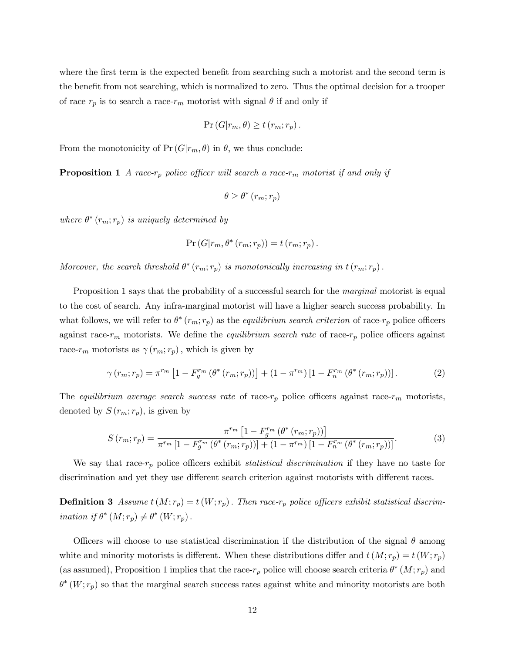where the first term is the expected benefit from searching such a motorist and the second term is the benefit from not searching, which is normalized to zero. Thus the optimal decision for a trooper of race  $r_p$  is to search a race- $r_m$  motorist with signal  $\theta$  if and only if

$$
\Pr(G|r_m, \theta) \ge t(r_m; r_p).
$$

From the monotonicity of  $Pr(G|r_m, \theta)$  in  $\theta$ , we thus conclude:

**Proposition 1** A race- $r_p$  police officer will search a race- $r_m$  motorist if and only if

$$
\theta \geq \theta^* (r_m; r_p)
$$

where  $\theta^*$   $(r_m; r_p)$  is uniquely determined by

$$
\Pr(G|r_m, \theta^*(r_m; r_p)) = t(r_m; r_p).
$$

Moreover, the search threshold  $\theta^*(r_m; r_p)$  is monotonically increasing in  $t(r_m; r_p)$ .

Proposition 1 says that the probability of a successful search for the *marginal* motorist is equal to the cost of search. Any infra-marginal motorist will have a higher search success probability. In what follows, we will refer to  $\theta^*(r_m; r_p)$  as the *equilibrium search criterion* of race- $r_p$  police officers against race- $r_m$  motorists. We define the *equilibrium search rate* of race- $r_p$  police officers against race- $r_m$  motorists as  $\gamma(r_m; r_p)$ , which is given by

$$
\gamma(r_m; r_p) = \pi^{r_m} \left[ 1 - F_g^{r_m} \left( \theta^* \left( r_m; r_p \right) \right) \right] + \left( 1 - \pi^{r_m} \right) \left[ 1 - F_n^{r_m} \left( \theta^* \left( r_m; r_p \right) \right) \right]. \tag{2}
$$

The equilibrium average search success rate of race- $r_p$  police officers against race- $r_m$  motorists, denoted by  $S(r_m; r_p)$ , is given by

$$
S(r_m; r_p) = \frac{\pi^{r_m} \left[1 - F_g^{r_m} \left(\theta^* \left(r_m; r_p\right)\right)\right]}{\pi^{r_m} \left[1 - F_g^{r_m} \left(\theta^* \left(r_m; r_p\right)\right)\right] + \left(1 - \pi^{r_m}\right)\left[1 - F_n^{r_m} \left(\theta^* \left(r_m; r_p\right)\right)\right]}.
$$
(3)

We say that race- $r_p$  police officers exhibit *statistical discrimination* if they have no taste for discrimination and yet they use different search criterion against motorists with different races.

**Definition 3** Assume  $t(M; r_p) = t(W; r_p)$ . Then race- $r_p$  police officers exhibit statistical discrimination if  $\theta^* (M; r_p) \neq \theta^* (W; r_p)$ .

Officers will choose to use statistical discrimination if the distribution of the signal  $\theta$  among white and minority motorists is different. When these distributions differ and  $t(M; r_p) = t(W; r_p)$ (as assumed), Proposition 1 implies that the race- $r_p$  police will choose search criteria  $\theta^*(M; r_p)$  and  $\theta^*(W; r_p)$  so that the marginal search success rates against white and minority motorists are both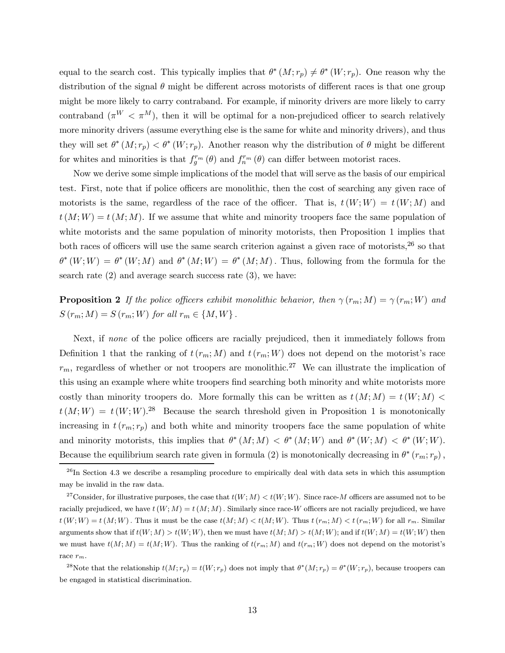equal to the search cost. This typically implies that  $\theta^*(M; r_p) \neq \theta^*(W; r_p)$ . One reason why the distribution of the signal  $\theta$  might be different across motorists of different races is that one group might be more likely to carry contraband. For example, if minority drivers are more likely to carry contraband  $(\pi^W < \pi^M)$ , then it will be optimal for a non-prejudiced officer to search relatively more minority drivers (assume everything else is the same for white and minority drivers), and thus they will set  $\theta^*(M; r_p) < \theta^*(W; r_p)$ . Another reason why the distribution of  $\theta$  might be different for whites and minorities is that  $f_{g}^{r_m}(\theta)$  and  $f_{n}^{r_m}(\theta)$  can differ between motorist races.

Now we derive some simple implications of the model that will serve as the basis of our empirical test. First, note that if police officers are monolithic, then the cost of searching any given race of motorists is the same, regardless of the race of the officer. That is,  $t(W; W) = t(W; M)$  and  $t(M; W) = t(M; M)$ . If we assume that white and minority troopers face the same population of white motorists and the same population of minority motorists, then Proposition 1 implies that both races of officers will use the same search criterion against a given race of motorists,  $26$  so that  $\theta^*(W;W) = \theta^*(W;M)$  and  $\theta^*(M;W) = \theta^*(M;M)$ . Thus, following from the formula for the search rate  $(2)$  and average search success rate  $(3)$ , we have:

**Proposition 2** If the police officers exhibit monolithic behavior, then  $\gamma(r_m;M) = \gamma(r_m;W)$  and  $S(r_m; M) = S(r_m; W)$  for all  $r_m \in \{M, W\}$ .

Next, if none of the police officers are racially prejudiced, then it immediately follows from Definition 1 that the ranking of  $t(r_m; M)$  and  $t(r_m; W)$  does not depend on the motorist's race  $r_m$ , regardless of whether or not troopers are monolithic.<sup>27</sup> We can illustrate the implication of this using an example where white troopers find searching both minority and white motorists more costly than minority troopers do. More formally this can be written as  $t(M; M) = t(W; M)$  $t(M; W) = t(W; W).$ <sup>28</sup> Because the search threshold given in Proposition 1 is monotonically increasing in  $t(r_m; r_p)$  and both white and minority troopers face the same population of white and minority motorists, this implies that  $\theta^*(M;M) < \theta^*(M;W)$  and  $\theta^*(W;M) < \theta^*(W;W)$ . Because the equilibrium search rate given in formula (2) is monotonically decreasing in  $\theta^* (r_m; r_p)$ ,

 $^{26}$ In Section 4.3 we describe a resampling procedure to empirically deal with data sets in which this assumption may be invalid in the raw data.

<sup>&</sup>lt;sup>27</sup>Consider, for illustrative purposes, the case that  $t(W; M) < t(W; W)$ . Since race-M officers are assumed not to be racially prejudiced, we have  $t(W; M) = t(M; M)$ . Similarly since race-W officers are not racially prejudiced, we have  $t(W; W) = t(M; W)$ . Thus it must be the case  $t(M; M) < t(M; W)$ . Thus  $t(r_m; M) < t(r_m; W)$  for all  $r_m$ . Similar arguments show that if  $t(W; M) > t(W; W)$ , then we must have  $t(M; M) > t(M; W)$ ; and if  $t(W; M) = t(W; W)$  then we must have  $t(M; M) = t(M; W)$ . Thus the ranking of  $t(r_m; M)$  and  $t(r_m; W)$  does not depend on the motorist's race  $r_m$ .

<sup>&</sup>lt;sup>28</sup>Note that the relationship  $t(M; r_p) = t(W; r_p)$  does not imply that  $\theta^*(M; r_p) = \theta^*(W; r_p)$ , because troopers can be engaged in statistical discrimination.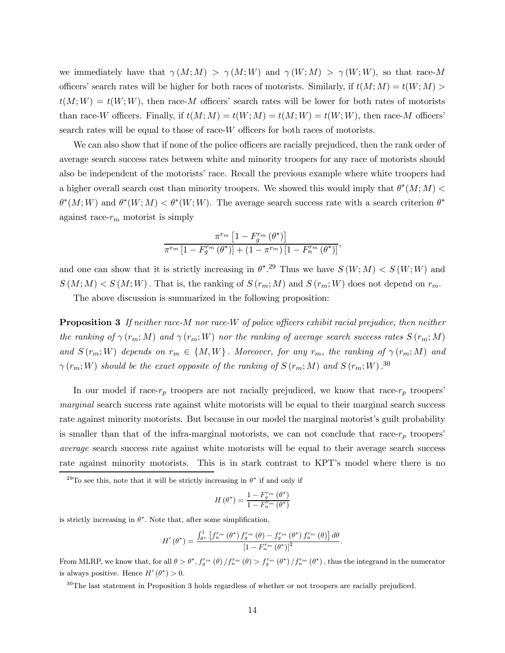we immediately have that  $\gamma(M; M) > \gamma(M; W)$  and  $\gamma(W; M) > \gamma(W; W)$ , so that race-M officers' search rates will be higher for both races of motorists. Similarly, if  $t(M; M) = t(W; M) >$  $t(M; W) = t(W; W)$ , then race-M officers' search rates will be lower for both rates of motorists than race-W officers. Finally, if  $t(M; M) = t(W; M) = t(M; W) = t(W; W)$ , then race-M officers' search rates will be equal to those of race- $W$  officers for both races of motorists.

We can also show that if none of the police officers are racially prejudiced, then the rank order of average search success rates between white and minority troopers for any race of motorists should also be independent of the motorists' race. Recall the previous example where white troopers had a higher overall search cost than minority troopers. We showed this would imply that  $\theta^*(M; M)$  <  $\theta^*(M; W)$  and  $\theta^*(W; M) < \theta^*(W; W)$ . The average search success rate with a search criterion  $\theta^*$ against race- $r_m$  motorist is simply

$$
\frac{\pi^{r_m}\left[1-F_g^{r_m}\left(\theta^*\right)\right]}{\pi^{r_m}\left[1-F_g^{r_m}\left(\theta^*\right)\right]+\left(1-\pi^{r_m}\right)\left[1-F_n^{r_m}\left(\theta^*\right)\right]},
$$

and one can show that it is strictly increasing in  $\theta^*$ .<sup>29</sup> Thus we have  $S(W;M) < S(W;W)$  and  $S(M; M) < S(M; W)$ . That is, the ranking of  $S(r_m; M)$  and  $S(r_m; W)$  does not depend on  $r_m$ .

The above discussion is summarized in the following proposition:

**Proposition 3** If neither race-M nor race-W of police officers exhibit racial prejudice, then neither the ranking of  $\gamma(r_m;M)$  and  $\gamma(r_m;W)$  nor the ranking of average search success rates  $S(r_m;M)$ and  $S(r_m;W)$  depends on  $r_m \in \{M,W\}$ . Moreover, for any  $r_m$ , the ranking of  $\gamma(r_m;M)$  and  $\gamma\left(r_m;W\right)$  should be the exact opposite of the ranking of  $S\left(r_m;M\right)$  and  $S\left(r_m;W\right).^{30}$ 

In our model if race- $r_p$  troopers are not racially prejudiced, we know that race- $r_p$  troopers' marginal search success rate against white motorists will be equal to their marginal search success rate against minority motorists. But because in our model the marginal motorist's guilt probability is smaller than that of the infra-marginal motorists, we can not conclude that race- $r_p$  troopers' average search success rate against white motorists will be equal to their average search success rate against minority motorists. This is in stark contrast to KPT's model where there is no

<sup>29</sup>To see this, note that it will be strictly increasing in  $\theta^*$  if and only if

$$
H(\theta^*) = \frac{1 - F_g^{r_m}(\theta^*)}{1 - F_n^{r_m}(\theta^*)}
$$

is strictly increasing in  $\theta^*$ . Note that, after some simplification,

$$
H'(\theta^*) = \frac{\int_{\theta^*}^1 \left[ f_n^{r_m}(\theta^*) f_g^{r_m}(\theta) - f_g^{r_m}(\theta^*) f_n^{r_m}(\theta) \right] d\theta}{\left[ 1 - F_n^{r_m}(\theta^*) \right]^2}.
$$

From MLRP, we know that, for all  $\theta > \theta^*$ ,  $f_g^{r_m}(\theta) / f_n^{r_m}(\theta) > f_g^{r_m}(\theta^*) / f_n^{r_m}(\theta^*)$ , thus the integrand in the numerator is always positive. Hence  $H'(\theta^*) > 0$ .

<sup>30</sup>The last statement in Proposition 3 holds regardless of whether or not troopers are racially prejudiced.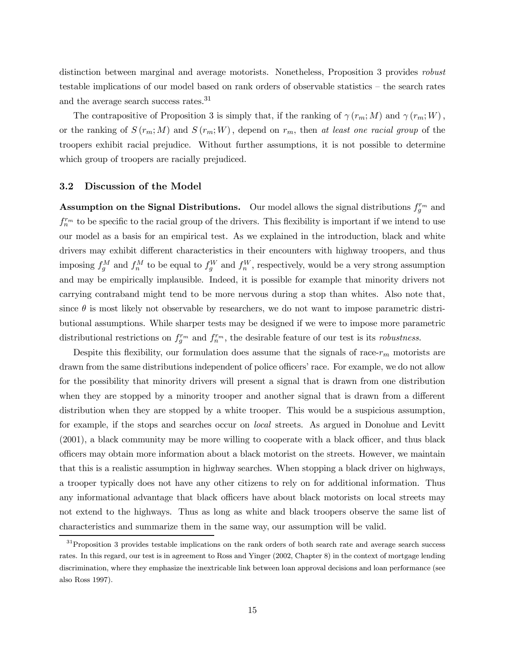distinction between marginal and average motorists. Nonetheless, Proposition 3 provides robust testable implications of our model based on rank orders of observable statistics — the search rates and the average search success rates.<sup>31</sup>

The contrapositive of Proposition 3 is simply that, if the ranking of  $\gamma(r_m; M)$  and  $\gamma(r_m; W)$ , or the ranking of  $S(r_m; M)$  and  $S(r_m; W)$ , depend on  $r_m$ , then at least one racial group of the troopers exhibit racial prejudice. Without further assumptions, it is not possible to determine which group of troopers are racially prejudiced.

#### 3.2 Discussion of the Model

**Assumption on the Signal Distributions.** Our model allows the signal distributions  $f_g^{r_m}$  and  $f_n^{r_m}$  to be specific to the racial group of the drivers. This flexibility is important if we intend to use our model as a basis for an empirical test. As we explained in the introduction, black and white drivers may exhibit different characteristics in their encounters with highway troopers, and thus imposing  $f_g^M$  and  $f_n^M$  to be equal to  $f_g^W$  and  $f_n^W$ , respectively, would be a very strong assumption and may be empirically implausible. Indeed, it is possible for example that minority drivers not carrying contraband might tend to be more nervous during a stop than whites. Also note that, since  $\theta$  is most likely not observable by researchers, we do not want to impose parametric distributional assumptions. While sharper tests may be designed if we were to impose more parametric distributional restrictions on  $f_g^{r_m}$  and  $f_n^{r_m}$ , the desirable feature of our test is its *robustness*.

Despite this flexibility, our formulation does assume that the signals of race- $r_m$  motorists are drawn from the same distributions independent of police officers' race. For example, we do not allow for the possibility that minority drivers will present a signal that is drawn from one distribution when they are stopped by a minority trooper and another signal that is drawn from a different distribution when they are stopped by a white trooper. This would be a suspicious assumption, for example, if the stops and searches occur on local streets. As argued in Donohue and Levitt (2001), a black community may be more willing to cooperate with a black officer, and thus black officers may obtain more information about a black motorist on the streets. However, we maintain that this is a realistic assumption in highway searches. When stopping a black driver on highways, a trooper typically does not have any other citizens to rely on for additional information. Thus any informational advantage that black officers have about black motorists on local streets may not extend to the highways. Thus as long as white and black troopers observe the same list of characteristics and summarize them in the same way, our assumption will be valid.

 $31$ Proposition 3 provides testable implications on the rank orders of both search rate and average search success rates. In this regard, our test is in agreement to Ross and Yinger (2002, Chapter 8) in the context of mortgage lending discrimination, where they emphasize the inextricable link between loan approval decisions and loan performance (see also Ross 1997).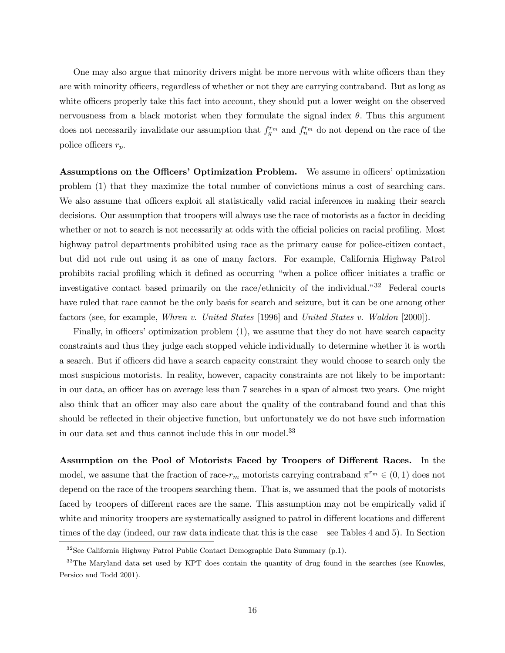One may also argue that minority drivers might be more nervous with white officers than they are with minority officers, regardless of whether or not they are carrying contraband. But as long as white officers properly take this fact into account, they should put a lower weight on the observed nervousness from a black motorist when they formulate the signal index  $\theta$ . Thus this argument does not necessarily invalidate our assumption that  $f_{g}^{r_m}$  and  $f_{n}^{r_m}$  do not depend on the race of the police officers  $r_p$ .

Assumptions on the Officers' Optimization Problem. We assume in officers' optimization problem (1) that they maximize the total number of convictions minus a cost of searching cars. We also assume that officers exploit all statistically valid racial inferences in making their search decisions. Our assumption that troopers will always use the race of motorists as a factor in deciding whether or not to search is not necessarily at odds with the official policies on racial profiling. Most highway patrol departments prohibited using race as the primary cause for police-citizen contact, but did not rule out using it as one of many factors. For example, California Highway Patrol prohibits racial profiling which it defined as occurring "when a police officer initiates a traffic or investigative contact based primarily on the race/ethnicity of the individual."<sup>32</sup> Federal courts have ruled that race cannot be the only basis for search and seizure, but it can be one among other factors (see, for example, Whren v. United States [1996] and United States v. Waldon [2000]).

Finally, in officers' optimization problem (1), we assume that they do not have search capacity constraints and thus they judge each stopped vehicle individually to determine whether it is worth a search. But if officers did have a search capacity constraint they would choose to search only the most suspicious motorists. In reality, however, capacity constraints are not likely to be important: in our data, an officer has on average less than 7 searches in a span of almost two years. One might also think that an officer may also care about the quality of the contraband found and that this should be reflected in their objective function, but unfortunately we do not have such information in our data set and thus cannot include this in our model.<sup>33</sup>

Assumption on the Pool of Motorists Faced by Troopers of Different Races. In the model, we assume that the fraction of race- $r_m$  motorists carrying contraband  $\pi^{r_m} \in (0,1)$  does not depend on the race of the troopers searching them. That is, we assumed that the pools of motorists faced by troopers of different races are the same. This assumption may not be empirically valid if white and minority troopers are systematically assigned to patrol in different locations and different times of the day (indeed, our raw data indicate that this is the case — see Tables 4 and 5). In Section

<sup>32</sup>See California Highway Patrol Public Contact Demographic Data Summary (p.1).

<sup>&</sup>lt;sup>33</sup>The Maryland data set used by KPT does contain the quantity of drug found in the searches (see Knowles, Persico and Todd 2001).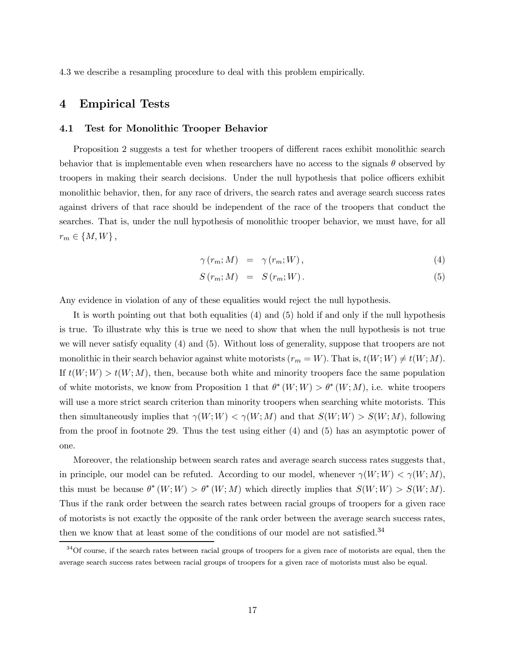4.3 we describe a resampling procedure to deal with this problem empirically.

# 4 Empirical Tests

#### 4.1 Test for Monolithic Trooper Behavior

Proposition 2 suggests a test for whether troopers of different races exhibit monolithic search behavior that is implementable even when researchers have no access to the signals  $\theta$  observed by troopers in making their search decisions. Under the null hypothesis that police officers exhibit monolithic behavior, then, for any race of drivers, the search rates and average search success rates against drivers of that race should be independent of the race of the troopers that conduct the searches. That is, under the null hypothesis of monolithic trooper behavior, we must have, for all  $r_m \in \{M, W\},\$ 

$$
\gamma(r_m; M) = \gamma(r_m; W), \qquad (4)
$$

$$
S(r_m; M) = S(r_m; W). \tag{5}
$$

Any evidence in violation of any of these equalities would reject the null hypothesis.

It is worth pointing out that both equalities (4) and (5) hold if and only if the null hypothesis is true. To illustrate why this is true we need to show that when the null hypothesis is not true we will never satisfy equality (4) and (5). Without loss of generality, suppose that troopers are not monolithic in their search behavior against white motorists  $(r_m = W)$ . That is,  $t(W; W) \neq t(W; M)$ . If  $t(W;W) > t(W;M)$ , then, because both white and minority troopers face the same population of white motorists, we know from Proposition 1 that  $\theta^*(W;W) > \theta^*(W;M)$ , i.e. white troopers will use a more strict search criterion than minority troopers when searching white motorists. This then simultaneously implies that  $\gamma(W; W) < \gamma(W; M)$  and that  $S(W; W) > S(W; M)$ , following from the proof in footnote 29. Thus the test using either (4) and (5) has an asymptotic power of one.

Moreover, the relationship between search rates and average search success rates suggests that, in principle, our model can be refuted. According to our model, whenever  $\gamma(W; W) < \gamma(W; M)$ , this must be because  $\theta^*(W; W) > \theta^*(W; M)$  which directly implies that  $S(W; W) > S(W; M)$ . Thus if the rank order between the search rates between racial groups of troopers for a given race of motorists is not exactly the opposite of the rank order between the average search success rates, then we know that at least some of the conditions of our model are not satisfied.<sup>34</sup>

<sup>&</sup>lt;sup>34</sup>Of course, if the search rates between racial groups of troopers for a given race of motorists are equal, then the average search success rates between racial groups of troopers for a given race of motorists must also be equal.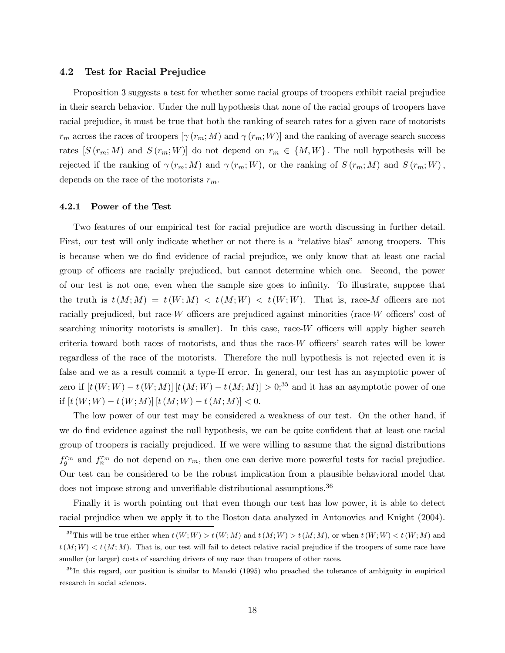#### 4.2 Test for Racial Prejudice

Proposition 3 suggests a test for whether some racial groups of troopers exhibit racial prejudice in their search behavior. Under the null hypothesis that none of the racial groups of troopers have racial prejudice, it must be true that both the ranking of search rates for a given race of motorists  $r_m$  across the races of troopers  $[\gamma(r_m;M)$  and  $\gamma(r_m;W)]$  and the ranking of average search success rates  $[S(r_m; M)$  and  $S(r_m; W)]$  do not depend on  $r_m \in \{M, W\}$ . The null hypothesis will be rejected if the ranking of  $\gamma(r_m; M)$  and  $\gamma(r_m; W)$ , or the ranking of  $S(r_m; M)$  and  $S(r_m; W)$ , depends on the race of the motorists  $r_m$ .

#### 4.2.1 Power of the Test

Two features of our empirical test for racial prejudice are worth discussing in further detail. First, our test will only indicate whether or not there is a "relative bias" among troopers. This is because when we do find evidence of racial prejudice, we only know that at least one racial group of officers are racially prejudiced, but cannot determine which one. Second, the power of our test is not one, even when the sample size goes to infinity. To illustrate, suppose that the truth is  $t(M;M) = t(W;M) < t(M;W) < t(W;W)$ . That is, race-M officers are not racially prejudiced, but race- $W$  officers are prejudiced against minorities (race- $W$  officers' cost of searching minority motorists is smaller). In this case, race- $W$  officers will apply higher search criteria toward both races of motorists, and thus the race- $W$  officers' search rates will be lower regardless of the race of the motorists. Therefore the null hypothesis is not rejected even it is false and we as a result commit a type-II error. In general, our test has an asymptotic power of zero if  $[t(W; W) - t(W; M)] [t(M; W) - t(M; M)] > 0;$ <sup>35</sup> and it has an asymptotic power of one if  $[t(W; W) - t(W; M)] [t(M; W) - t(M; M)] < 0.$ 

The low power of our test may be considered a weakness of our test. On the other hand, if we do find evidence against the null hypothesis, we can be quite confident that at least one racial group of troopers is racially prejudiced. If we were willing to assume that the signal distributions  $f_{g}^{r_m}$  and  $f_{n}^{r_m}$  do not depend on  $r_m$ , then one can derive more powerful tests for racial prejudice. Our test can be considered to be the robust implication from a plausible behavioral model that does not impose strong and unverifiable distributional assumptions.<sup>36</sup>

Finally it is worth pointing out that even though our test has low power, it is able to detect racial prejudice when we apply it to the Boston data analyzed in Antonovics and Knight (2004).

<sup>&</sup>lt;sup>35</sup>This will be true either when  $t(W; W) > t(W; M)$  and  $t(M; W) > t(M; M)$ , or when  $t(W; W) < t(W; M)$  and  $t(M; W) < t(M; M)$ . That is, our test will fail to detect relative racial prejudice if the troopers of some race have smaller (or larger) costs of searching drivers of any race than troopers of other races.

<sup>&</sup>lt;sup>36</sup>In this regard, our position is similar to Manski (1995) who preached the tolerance of ambiguity in empirical research in social sciences.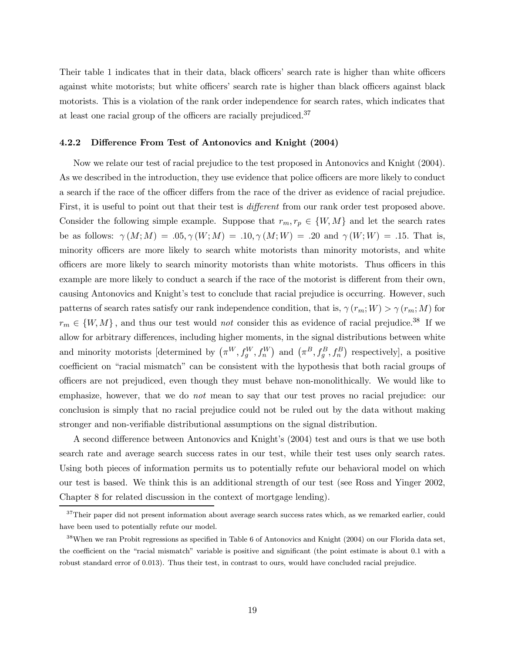Their table 1 indicates that in their data, black officers' search rate is higher than white officers against white motorists; but white officers' search rate is higher than black officers against black motorists. This is a violation of the rank order independence for search rates, which indicates that at least one racial group of the officers are racially prejudiced.<sup>37</sup>

#### 4.2.2 Difference From Test of Antonovics and Knight (2004)

Now we relate our test of racial prejudice to the test proposed in Antonovics and Knight (2004). As we described in the introduction, they use evidence that police officers are more likely to conduct a search if the race of the officer differs from the race of the driver as evidence of racial prejudice. First, it is useful to point out that their test is *different* from our rank order test proposed above. Consider the following simple example. Suppose that  $r_m, r_p \in \{W, M\}$  and let the search rates be as follows:  $\gamma(M;M) = .05, \gamma(W;M) = .10, \gamma(M;W) = .20$  and  $\gamma(W;W) = .15$ . That is, minority officers are more likely to search white motorists than minority motorists, and white officers are more likely to search minority motorists than white motorists. Thus officers in this example are more likely to conduct a search if the race of the motorist is different from their own, causing Antonovics and Knight's test to conclude that racial prejudice is occurring. However, such patterns of search rates satisfy our rank independence condition, that is,  $\gamma(r_m; W) > \gamma(r_m; M)$  for  $r_m \in \{W, M\}$ , and thus our test would *not* consider this as evidence of racial prejudice.<sup>38</sup> If we allow for arbitrary differences, including higher moments, in the signal distributions between white and minority motorists [determined by  $(\pi^W, f_g^W, f_n^W)$  and  $(\pi^B, f_g^B, f_n^B)$  respectively], a positive coefficient on "racial mismatch" can be consistent with the hypothesis that both racial groups of officers are not prejudiced, even though they must behave non-monolithically. We would like to emphasize, however, that we do not mean to say that our test proves no racial prejudice: our conclusion is simply that no racial prejudice could not be ruled out by the data without making stronger and non-verifiable distributional assumptions on the signal distribution.

A second difference between Antonovics and Knight's (2004) test and ours is that we use both search rate and average search success rates in our test, while their test uses only search rates. Using both pieces of information permits us to potentially refute our behavioral model on which our test is based. We think this is an additional strength of our test (see Ross and Yinger 2002, Chapter 8 for related discussion in the context of mortgage lending).

 $37$ Their paper did not present information about average search success rates which, as we remarked earlier, could have been used to potentially refute our model.

<sup>38</sup>When we ran Probit regressions as specified in Table 6 of Antonovics and Knight (2004) on our Florida data set, the coefficient on the "racial mismatch" variable is positive and significant (the point estimate is about 0.1 with a robust standard error of 0.013). Thus their test, in contrast to ours, would have concluded racial prejudice.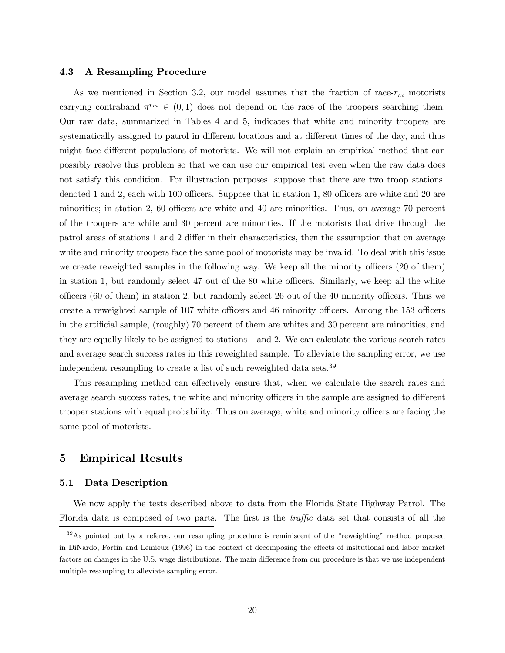#### 4.3 A Resampling Procedure

As we mentioned in Section 3.2, our model assumes that the fraction of race- $r_m$  motorists carrying contraband  $\pi^{r_m} \in (0,1)$  does not depend on the race of the troopers searching them. Our raw data, summarized in Tables 4 and 5, indicates that white and minority troopers are systematically assigned to patrol in different locations and at different times of the day, and thus might face different populations of motorists. We will not explain an empirical method that can possibly resolve this problem so that we can use our empirical test even when the raw data does not satisfy this condition. For illustration purposes, suppose that there are two troop stations, denoted 1 and 2, each with 100 officers. Suppose that in station 1, 80 officers are white and 20 are minorities; in station 2, 60 officers are white and 40 are minorities. Thus, on average 70 percent of the troopers are white and 30 percent are minorities. If the motorists that drive through the patrol areas of stations 1 and 2 differ in their characteristics, then the assumption that on average white and minority troopers face the same pool of motorists may be invalid. To deal with this issue we create reweighted samples in the following way. We keep all the minority officers (20 of them) in station 1, but randomly select 47 out of the 80 white officers. Similarly, we keep all the white officers (60 of them) in station 2, but randomly select 26 out of the 40 minority officers. Thus we create a reweighted sample of 107 white officers and 46 minority officers. Among the 153 officers in the artificial sample, (roughly) 70 percent of them are whites and 30 percent are minorities, and they are equally likely to be assigned to stations 1 and 2. We can calculate the various search rates and average search success rates in this reweighted sample. To alleviate the sampling error, we use independent resampling to create a list of such reweighted data sets.<sup>39</sup>

This resampling method can effectively ensure that, when we calculate the search rates and average search success rates, the white and minority officers in the sample are assigned to different trooper stations with equal probability. Thus on average, white and minority officers are facing the same pool of motorists.

### 5 Empirical Results

#### 5.1 Data Description

We now apply the tests described above to data from the Florida State Highway Patrol. The Florida data is composed of two parts. The first is the traffic data set that consists of all the

<sup>&</sup>lt;sup>39</sup>As pointed out by a referee, our resampling procedure is reminiscent of the "reweighting" method proposed in DiNardo, Fortin and Lemieux (1996) in the context of decomposing the effects of insitutional and labor market factors on changes in the U.S. wage distributions. The main difference from our procedure is that we use independent multiple resampling to alleviate sampling error.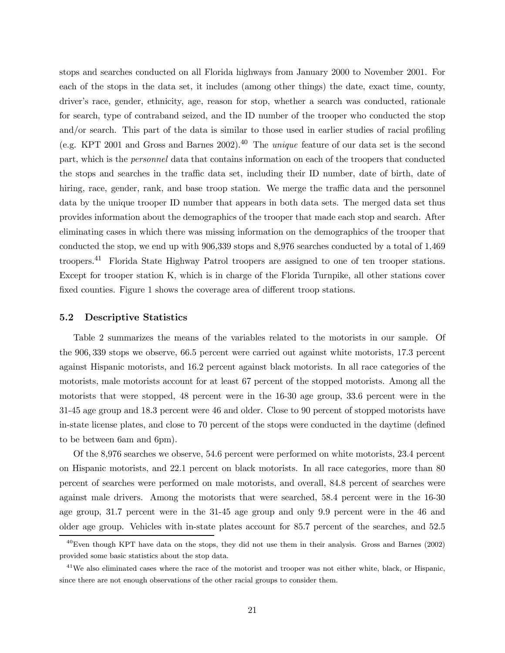stops and searches conducted on all Florida highways from January 2000 to November 2001. For each of the stops in the data set, it includes (among other things) the date, exact time, county, driver's race, gender, ethnicity, age, reason for stop, whether a search was conducted, rationale for search, type of contraband seized, and the ID number of the trooper who conducted the stop and/or search. This part of the data is similar to those used in earlier studies of racial profiling (e.g. KPT 2001 and Gross and Barnes 2002).<sup>40</sup> The *unique* feature of our data set is the second part, which is the personnel data that contains information on each of the troopers that conducted the stops and searches in the traffic data set, including their ID number, date of birth, date of hiring, race, gender, rank, and base troop station. We merge the traffic data and the personnel data by the unique trooper ID number that appears in both data sets. The merged data set thus provides information about the demographics of the trooper that made each stop and search. After eliminating cases in which there was missing information on the demographics of the trooper that conducted the stop, we end up with 906,339 stops and 8,976 searches conducted by a total of 1,469 troopers.<sup>41</sup> Florida State Highway Patrol troopers are assigned to one of ten trooper stations. Except for trooper station K, which is in charge of the Florida Turnpike, all other stations cover fixed counties. Figure 1 shows the coverage area of different troop stations.

#### 5.2 Descriptive Statistics

Table 2 summarizes the means of the variables related to the motorists in our sample. Of the 906 339 stops we observe, 66.5 percent were carried out against white motorists, 17.3 percent against Hispanic motorists, and 16.2 percent against black motorists. In all race categories of the motorists, male motorists account for at least 67 percent of the stopped motorists. Among all the motorists that were stopped, 48 percent were in the 16-30 age group, 33.6 percent were in the 31-45 age group and 18.3 percent were 46 and older. Close to 90 percent of stopped motorists have in-state license plates, and close to 70 percent of the stops were conducted in the daytime (defined to be between 6am and 6pm).

Of the 8,976 searches we observe, 54.6 percent were performed on white motorists, 23.4 percent on Hispanic motorists, and 22.1 percent on black motorists. In all race categories, more than 80 percent of searches were performed on male motorists, and overall, 84.8 percent of searches were against male drivers. Among the motorists that were searched, 58.4 percent were in the 16-30 age group, 31.7 percent were in the 31-45 age group and only 9.9 percent were in the 46 and older age group. Vehicles with in-state plates account for 85.7 percent of the searches, and 52.5

 $^{40}$ Even though KPT have data on the stops, they did not use them in their analysis. Gross and Barnes (2002) provided some basic statistics about the stop data.

<sup>&</sup>lt;sup>41</sup>We also eliminated cases where the race of the motorist and trooper was not either white, black, or Hispanic, since there are not enough observations of the other racial groups to consider them.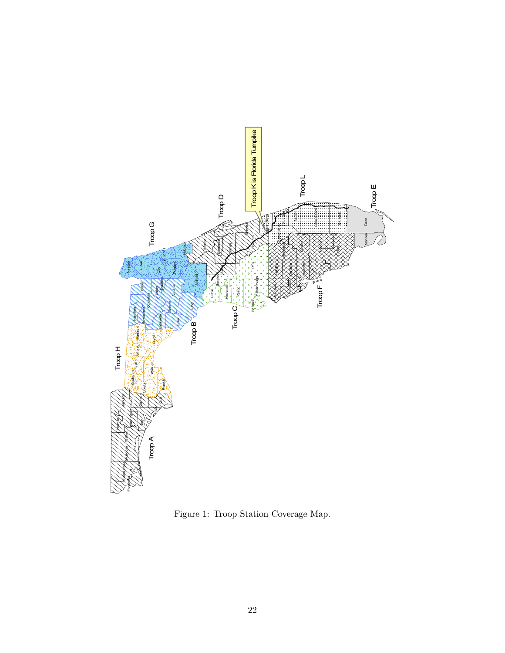

Figure 1: Troop Station Coverage Map.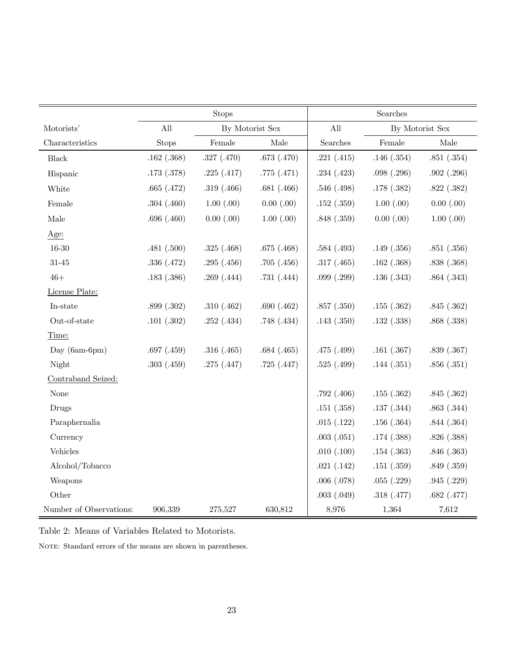|                         | <b>Stops</b>                |                |                 | Searches        |                |                 |
|-------------------------|-----------------------------|----------------|-----------------|-----------------|----------------|-----------------|
| Motorists'              | $\mathop{\rm All}\nolimits$ |                | By Motorist Sex | All             |                | By Motorist Sex |
| Characteristics         | <b>Stops</b>                | Female         | Male            | Searches        | Female         | Male            |
| Black                   | .162(.368)                  | .327(.470)     | .673(.470)      | .221(.415)      | .146(.354)     | .851(.354)      |
| Hispanic                | .173(.378)                  | .225(.417)     | .775(.471)      | .234(.423)      | .098(.296)     | .902(.296)      |
| White                   | .665(.472)                  | .319(.466)     | .681(.466)      | .546(.498)      | .178(.382)     | .822(.382)      |
| Female                  | .304(.460)                  | $1.00$ $(.00)$ | $0.00$ $(.00)$  | .152(.359)      | $1.00$ $(.00)$ | $0.00$ $(.00)$  |
| Male                    | .696(.460)                  | $0.00$ $(.00)$ | $1.00$ $(.00)$  | .848(.359)      | $0.00$ $(.00)$ | $1.00$ $(.00)$  |
| Age:                    |                             |                |                 |                 |                |                 |
| $16 - 30$               | .481(.500)                  | .325(.468)     | .675(.468)      | .584(.493)      | .149(.356)     | .851(.356)      |
| $31\hbox{-} 45$         | .336(.472)                  | .295(.456)     | .705(.456)      | .317(.465)      | .162(.368)     | .838(.368)      |
| $46+$                   | .183(.386)                  | .269(.444)     | .731(.444)      | .099(.299)      | .136(.343)     | .864(.343)      |
| License Plate:          |                             |                |                 |                 |                |                 |
| $In-state$              | .899(.302)                  | .310(.462)     | .690(.462)      | .857(.350)      | .155(.362)     | .845(.362)      |
| $Out-of-state$          | .101(.302)                  | .252(.434)     | .748(.434)      | .143(.350)      | .132(.338)     | .868(.338)      |
| Time:                   |                             |                |                 |                 |                |                 |
| Day $(6am-6pm)$         | .697(.459)                  | .316(.465)     | .684(.465)      | .475 (.499)     | .161(.367)     | .839(.367)      |
| Night                   | .303(.459)                  | .275(.447)     | .725(.447)      | .525(.499)      | .144(.351)     | .856(.351)      |
| Contraband Seized:      |                             |                |                 |                 |                |                 |
| None                    |                             |                |                 | .792(.406)      | .155(.362)     | .845(.362)      |
| Drugs                   |                             |                |                 | .151(.358)      | .137(.344)     | .863(.344)      |
| Paraphernalia           |                             |                |                 | .015(.122)      | .156(.364)     | .844(.364)      |
| Currency                |                             |                |                 | .003(.051)      | .174(.388)     | .826(.388)      |
| Vehicles                |                             |                |                 | .010(.100)      | .154(.363)     | .846(.363)      |
| Alcohol/Tobacco         |                             |                |                 | .021(.142)      | .151(.359)     | .849(.359)      |
| Weapons                 |                             |                |                 | .006(.078)      | .055(.229)     | .945(.229)      |
| Other                   |                             |                |                 | $.003$ $(.049)$ | .318(.477)     | .682(.477)      |
| Number of Observations: | 906,339                     | 275,527        | 630,812         | 8,976           | 1,364          | 7,612           |

Table 2: Means of Variables Related to Motorists.

NOTE: Standard errors of the means are shown in parentheses.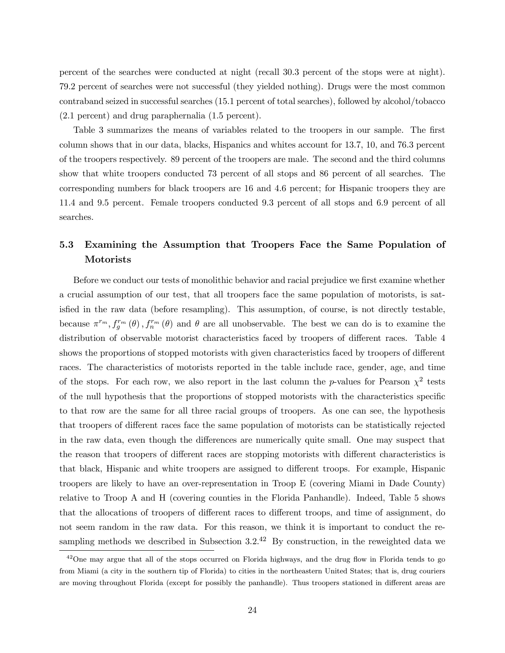percent of the searches were conducted at night (recall 30.3 percent of the stops were at night). 79.2 percent of searches were not successful (they yielded nothing). Drugs were the most common contraband seized in successful searches (15.1 percent of total searches), followed by alcohol/tobacco (2.1 percent) and drug paraphernalia (1.5 percent).

Table 3 summarizes the means of variables related to the troopers in our sample. The first column shows that in our data, blacks, Hispanics and whites account for 13.7, 10, and 76.3 percent of the troopers respectively. 89 percent of the troopers are male. The second and the third columns show that white troopers conducted 73 percent of all stops and 86 percent of all searches. The corresponding numbers for black troopers are 16 and 4.6 percent; for Hispanic troopers they are 11.4 and 9.5 percent. Female troopers conducted 9.3 percent of all stops and 6.9 percent of all searches.

# 5.3 Examining the Assumption that Troopers Face the Same Population of Motorists

Before we conduct our tests of monolithic behavior and racial prejudice we first examine whether a crucial assumption of our test, that all troopers face the same population of motorists, is satisfied in the raw data (before resampling). This assumption, of course, is not directly testable, because  $\pi^{r_m}, f_m^{r_m}(\theta), f_n^{r_m}(\theta)$  and  $\theta$  are all unobservable. The best we can do is to examine the distribution of observable motorist characteristics faced by troopers of different races. Table 4 shows the proportions of stopped motorists with given characteristics faced by troopers of different races. The characteristics of motorists reported in the table include race, gender, age, and time of the stops. For each row, we also report in the last column the p-values for Pearson  $\chi^2$  tests of the null hypothesis that the proportions of stopped motorists with the characteristics specific to that row are the same for all three racial groups of troopers. As one can see, the hypothesis that troopers of different races face the same population of motorists can be statistically rejected in the raw data, even though the differences are numerically quite small. One may suspect that the reason that troopers of different races are stopping motorists with different characteristics is that black, Hispanic and white troopers are assigned to different troops. For example, Hispanic troopers are likely to have an over-representation in Troop E (covering Miami in Dade County) relative to Troop A and H (covering counties in the Florida Panhandle). Indeed, Table 5 shows that the allocations of troopers of different races to different troops, and time of assignment, do not seem random in the raw data. For this reason, we think it is important to conduct the resampling methods we described in Subsection  $3.2^{42}$  By construction, in the reweighted data we

 $^{42}$ One may argue that all of the stops occurred on Florida highways, and the drug flow in Florida tends to go from Miami (a city in the southern tip of Florida) to cities in the northeastern United States; that is, drug couriers are moving throughout Florida (except for possibly the panhandle). Thus troopers stationed in different areas are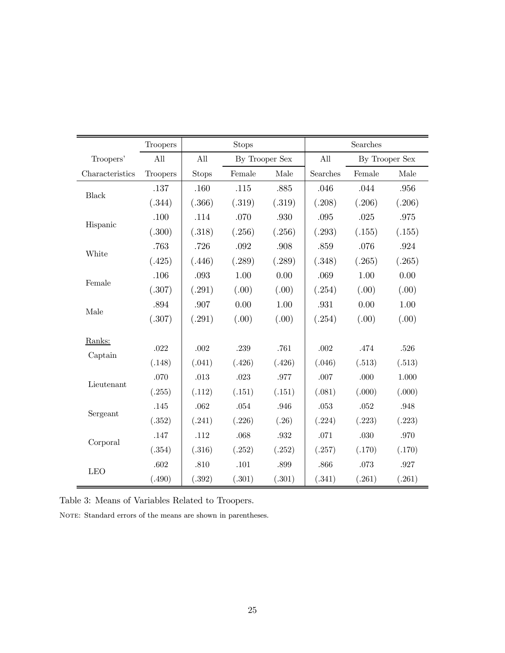|                 | <b>Troopers</b> | <b>Stops</b> |                | Searches |          |                |          |
|-----------------|-----------------|--------------|----------------|----------|----------|----------------|----------|
| Troopers'       | All             | All          | By Trooper Sex |          | All      | By Trooper Sex |          |
| Characteristics | Troopers        | <b>Stops</b> | Female         | Male     | Searches | Female         | Male     |
|                 | .137            | .160         | .115           | .885     | .046     | .044           | .956     |
| <b>Black</b>    | (.344)          | (.366)       | (.319)         | (.319)   | (.208)   | (.206)         | (.206)   |
|                 | .100            | .114         | .070           | .930     | .095     | .025           | .975     |
| Hispanic        | (.300)          | (.318)       | (.256)         | (.256)   | (.293)   | (.155)         | (.155)   |
|                 | .763            | .726         | .092           | .908     | .859     | .076           | .924     |
| White           | (.425)          | (.446)       | (.289)         | (.289)   | (.348)   | (.265)         | (.265)   |
|                 | .106            | .093         | 1.00           | 0.00     | .069     | 1.00           | 0.00     |
| Female          | (.307)          | (.291)       | (.00)          | (.00)    | (.254)   | (.00)          | (.00)    |
| Male            | .894            | .907         | 0.00           | 1.00     | .931     | 0.00           | 1.00     |
|                 | (.307)          | (.291)       | (.00)          | (.00)    | (.254)   | (.00)          | (.00)    |
| Ranks:          |                 |              |                |          |          |                |          |
| Captain         | $.022\,$        | .002         | .239           | $.761\,$ | .002     | .474           | $.526\,$ |
|                 | (.148)          | (.041)       | (.426)         | (.426)   | (.046)   | (.513)         | (.513)   |
| Lieutenant      | .070            | .013         | .023           | .977     | .007     | .000           | 1.000    |
|                 | (.255)          | (.112)       | (.151)         | (.151)   | (.081)   | (.000)         | (.000)   |
| Sergeant        | .145            | .062         | .054           | .946     | .053     | .052           | .948     |
|                 | (.352)          | (.241)       | (.226)         | (.26)    | (.224)   | (.223)         | (.223)   |
|                 | .147            | .112         | .068           | .932     | .071     | .030           | .970     |
| Corporal        | (.354)          | (.316)       | (.252)         | (.252)   | (.257)   | (.170)         | (.170)   |
|                 | .602            | .810         | .101           | .899     | .866     | .073           | .927     |
| <b>LEO</b>      | (.490)          | (.392)       | (.301)         | (.301)   | (.341)   | (.261)         | (.261)   |

Table 3: Means of Variables Related to Troopers.

NOTE: Standard errors of the means are shown in parentheses.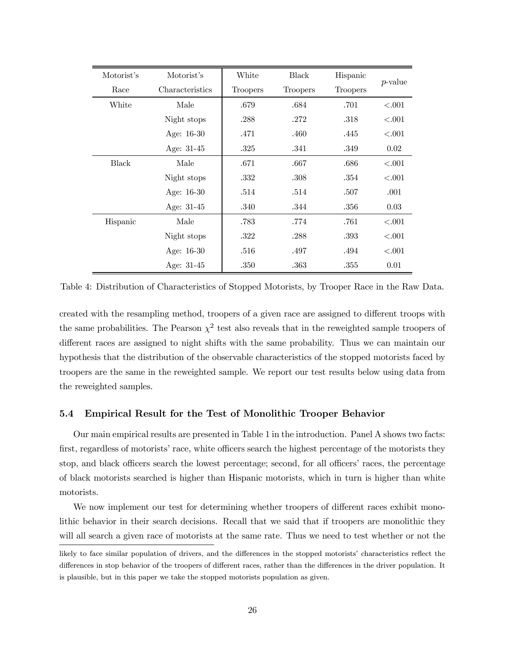| Motorist's   | Motorist's             | White           | <b>Black</b>    | Hispanic        |            |
|--------------|------------------------|-----------------|-----------------|-----------------|------------|
| Race         | <i>Characteristics</i> | <b>Troopers</b> | <b>Troopers</b> | <b>Troopers</b> | $p$ -value |
| White        | Male                   | .679            | .684            | .701            | < .001     |
|              | Night stops            | .288            | .272            | .318            | ${<}.001$  |
|              | Age: $16-30$           | .471            | .460            | .445            | < .001     |
|              | Age: $31-45$           | .325            | .341            | .349            | 0.02       |
| <b>Black</b> | Male                   | .671            | .667            | .686            | < 0.001    |
|              | Night stops            | .332            | .308            | .354            | < .001     |
|              | Age: $16-30$           | .514            | .514            | .507            | .001       |
|              | Age: 31-45             | .340            | .344            | .356            | 0.03       |
| Hispanic     | Male                   | .783            | .774            | .761            | < .001     |
|              | Night stops            | .322            | .288            | .393            | ${<}.001$  |
|              | Age: 16-30             | .516            | .497            | .494            | < 0.001    |
|              | Age: $31-45$           | .350            | .363            | .355            | 0.01       |

Table 4: Distribution of Characteristics of Stopped Motorists, by Trooper Race in the Raw Data.

created with the resampling method, troopers of a given race are assigned to different troops with the same probabilities. The Pearson  $\chi^2$  test also reveals that in the reweighted sample troopers of different races are assigned to night shifts with the same probability. Thus we can maintain our hypothesis that the distribution of the observable characteristics of the stopped motorists faced by troopers are the same in the reweighted sample. We report our test results below using data from the reweighted samples.

#### 5.4 Empirical Result for the Test of Monolithic Trooper Behavior

Our main empirical results are presented in Table 1 in the introduction. Panel A shows two facts: first, regardless of motorists' race, white officers search the highest percentage of the motorists they stop, and black officers search the lowest percentage; second, for all officers' races, the percentage of black motorists searched is higher than Hispanic motorists, which in turn is higher than white motorists.

We now implement our test for determining whether troopers of different races exhibit monolithic behavior in their search decisions. Recall that we said that if troopers are monolithic they will all search a given race of motorists at the same rate. Thus we need to test whether or not the

likely to face similar population of drivers, and the differences in the stopped motorists' characteristics reflect the differences in stop behavior of the troopers of different races, rather than the differences in the driver population. It is plausible, but in this paper we take the stopped motorists population as given.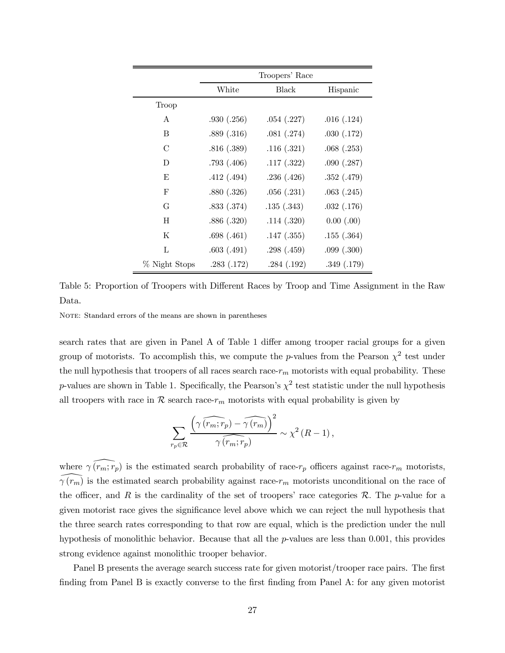|               | Troopers' Race |            |                 |
|---------------|----------------|------------|-----------------|
|               | White          | Black      | Hispanic        |
| Troop         |                |            |                 |
| A             | .930(.256)     | .054(.227) | .016(.124)      |
| B             | .889(.316)     | .081(.274) | .030(.172)      |
| $\mathcal{C}$ | .816(.389)     | .116(.321) | .068(.253)      |
| D             | .793(.406)     | .117(.322) | .090(.287)      |
| E             | .412(.494)     | .236(.426) | .352(.479)      |
| F             | .880(.326)     | .056(.231) | $.063$ $(.245)$ |
| G             | .833(.374)     | .135(.343) | .032(.176)      |
| H             | .886(.320)     | .114(.320) | $0.00$ $(.00)$  |
| K             | .698(.461)     | .147(.355) | .155(.364)      |
| L             | .603(.491)     | .298(.459) | .099(.300)      |
| % Night Stops | .283(.172)     | .284(.192) | .349(.179)      |

Table 5: Proportion of Troopers with Different Races by Troop and Time Assignment in the Raw Data.

NOTE: Standard errors of the means are shown in parentheses

search rates that are given in Panel A of Table 1 differ among trooper racial groups for a given group of motorists. To accomplish this, we compute the p-values from the Pearson  $\chi^2$  test under the null hypothesis that troopers of all races search race- $r_m$  motorists with equal probability. These p-values are shown in Table 1. Specifically, the Pearson's  $\chi^2$  test statistic under the null hypothesis all troopers with race in  $\mathcal R$  search race- $r_m$  motorists with equal probability is given by

$$
\sum_{r_p \in \mathcal{R}} \frac{\left(\gamma\left(\widehat{r_m;r_p}\right) - \widehat{\gamma\left(r_m\right)}\right)^2}{\gamma\left(\widehat{r_m;r_p}\right)} \sim \chi^2\left(R-1\right),\,
$$

where  $\gamma(r_m; r_p)$  is the estimated search probability of race- $r_p$  officers against race- $r_m$  motorists,  $\gamma(r_m)$  is the estimated search probability against race- $r_m$  motorists unconditional on the race of the officer, and R is the cardinality of the set of troopers' race categories  $\mathcal{R}$ . The p-value for a given motorist race gives the significance level above which we can reject the null hypothesis that the three search rates corresponding to that row are equal, which is the prediction under the null hypothesis of monolithic behavior. Because that all the  $p$ -values are less than 0.001, this provides strong evidence against monolithic trooper behavior.

Panel B presents the average search success rate for given motorist/trooper race pairs. The first finding from Panel B is exactly converse to the first finding from Panel A: for any given motorist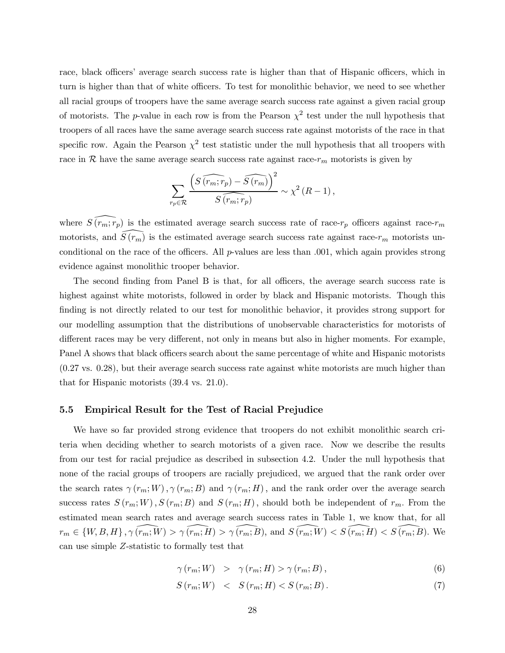race, black officers' average search success rate is higher than that of Hispanic officers, which in turn is higher than that of white officers. To test for monolithic behavior, we need to see whether all racial groups of troopers have the same average search success rate against a given racial group of motorists. The p-value in each row is from the Pearson  $\chi^2$  test under the null hypothesis that troopers of all races have the same average search success rate against motorists of the race in that specific row. Again the Pearson  $\chi^2$  test statistic under the null hypothesis that all troopers with race in  $\mathcal R$  have the same average search success rate against race- $r_m$  motorists is given by

$$
\sum_{r_p \in \mathcal{R}} \frac{\left(\widehat{S(r_m; r_p)} - \widehat{S(r_m)}\right)^2}{\widehat{S(r_m; r_p)}} \sim \chi^2(R-1),
$$

where  $S(r_m; r_p)$  is the estimated average search success rate of race- $r_p$  officers against race- $r_m$ motorists, and  $\tilde{S}(r_m)$  is the estimated average search success rate against race- $r_m$  motorists unconditional on the race of the officers. All  $p$ -values are less than 001, which again provides strong evidence against monolithic trooper behavior.

The second finding from Panel B is that, for all officers, the average search success rate is highest against white motorists, followed in order by black and Hispanic motorists. Though this finding is not directly related to our test for monolithic behavior, it provides strong support for our modelling assumption that the distributions of unobservable characteristics for motorists of different races may be very different, not only in means but also in higher moments. For example, Panel A shows that black officers search about the same percentage of white and Hispanic motorists (0.27 vs. 0.28), but their average search success rate against white motorists are much higher than that for Hispanic motorists (39.4 vs. 21.0).

#### 5.5 Empirical Result for the Test of Racial Prejudice

We have so far provided strong evidence that troopers do not exhibit monolithic search criteria when deciding whether to search motorists of a given race. Now we describe the results from our test for racial prejudice as described in subsection 4.2. Under the null hypothesis that none of the racial groups of troopers are racially prejudiced, we argued that the rank order over the search rates  $\gamma(r_m;W), \gamma(r_m;B)$  and  $\gamma(r_m;H)$ , and the rank order over the average search success rates  $S(r_m;W)$ ,  $S(r_m;B)$  and  $S(r_m;H)$ , should both be independent of  $r_m$ . From the estimated mean search rates and average search success rates in Table 1, we know that, for all  $r_m \in \{W, B, H\}, \gamma(\overline{r_m}; \overline{W}) > \gamma(\overline{r_m}; \overline{H}) > \gamma(\overline{r_m}; \overline{B})$ , and  $S(\overline{r_m}; \overline{W}) < S(\overline{r_m}; \overline{H}) < S(\overline{r_m}; \overline{B})$ . We can use simple  $Z$ -statistic to formally test that

$$
\gamma(r_m; W) > \gamma(r_m; H) > \gamma(r_m; B), \qquad (6)
$$

$$
S(r_m;W) \quad < \quad S(r_m;H) < S(r_m;B) \,. \tag{7}
$$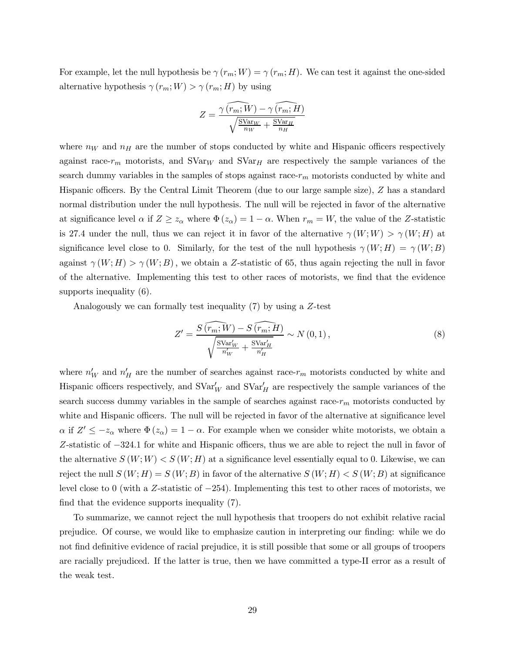For example, let the null hypothesis be  $\gamma(r_m; W) = \gamma(r_m; H)$ . We can test it against the one-sided alternative hypothesis  $\gamma(r_m; W) > \gamma(r_m; H)$  by using

$$
Z = \frac{\gamma(\widehat{r_m;W}) - \gamma(\widehat{r_m;H})}{\sqrt{\frac{\text{SVar}_W}{n_W} + \frac{\text{SVar}_H}{n_H}}}
$$

where  $n_W$  and  $n_H$  are the number of stops conducted by white and Hispanic officers respectively against race- $r_m$  motorists, and  $SVar_W$  and  $SVar_H$  are respectively the sample variances of the search dummy variables in the samples of stops against race- $r_m$  motorists conducted by white and Hispanic officers. By the Central Limit Theorem (due to our large sample size),  $Z$  has a standard normal distribution under the null hypothesis. The null will be rejected in favor of the alternative at significance level  $\alpha$  if  $Z \ge z_\alpha$  where  $\Phi(z_\alpha) = 1 - \alpha$ . When  $r_m = W$ , the value of the Z-statistic is 27.4 under the null, thus we can reject it in favor of the alternative  $\gamma(W; W) > \gamma(W; H)$  at significance level close to 0. Similarly, for the test of the null hypothesis  $\gamma(W; H) = \gamma(W; B)$ against  $\gamma(W; H) > \gamma(W; B)$ , we obtain a Z-statistic of 65, thus again rejecting the null in favor of the alternative. Implementing this test to other races of motorists, we find that the evidence supports inequality (6).

Analogously we can formally test inequality  $(7)$  by using a Z-test

$$
Z' = \frac{S\left(\widehat{r_m}; W\right) - S\left(\widehat{r_m}; H\right)}{\sqrt{\frac{\text{SVar}'_W}{n_W'} + \frac{\text{SVar}'_H}{n_H'}}} \sim N\left(0, 1\right),\tag{8}
$$

where  $n_W'$  and  $n_H'$  are the number of searches against race- $r_m$  motorists conducted by white and Hispanic officers respectively, and  $SVar'_{W}$  and  $SVar'_{H}$  are respectively the sample variances of the search success dummy variables in the sample of searches against race- $r_m$  motorists conducted by white and Hispanic officers. The null will be rejected in favor of the alternative at significance level  $\alpha$  if  $Z' \leq -z_\alpha$  where  $\Phi(z_\alpha) = 1 - \alpha$ . For example when we consider white motorists, we obtain a Z-statistic of −324.1 for white and Hispanic officers, thus we are able to reject the null in favor of the alternative  $S(W; W) < S(W; H)$  at a significance level essentially equal to 0. Likewise, we can reject the null  $S(W; H) = S(W; B)$  in favor of the alternative  $S(W; H) < S(W; B)$  at significance level close to 0 (with a  $Z$ -statistic of  $-254$ ). Implementing this test to other races of motorists, we find that the evidence supports inequality (7).

To summarize, we cannot reject the null hypothesis that troopers do not exhibit relative racial prejudice. Of course, we would like to emphasize caution in interpreting our finding: while we do not find definitive evidence of racial prejudice, it is still possible that some or all groups of troopers are racially prejudiced. If the latter is true, then we have committed a type-II error as a result of the weak test.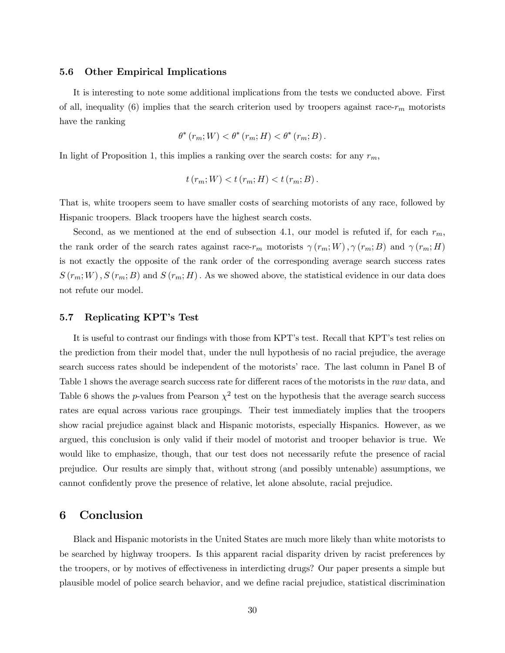#### 5.6 Other Empirical Implications

It is interesting to note some additional implications from the tests we conducted above. First of all, inequality (6) implies that the search criterion used by troopers against race- $r_m$  motorists have the ranking

$$
\theta^* (r_m; W) < \theta^* (r_m; H) < \theta^* (r_m; B).
$$

In light of Proposition 1, this implies a ranking over the search costs: for any  $r_m$ ,

$$
t(r_m; W) < t(r_m; H) < t(r_m; B).
$$

That is, white troopers seem to have smaller costs of searching motorists of any race, followed by Hispanic troopers. Black troopers have the highest search costs.

Second, as we mentioned at the end of subsection 4.1, our model is refuted if, for each  $r_m$ , the rank order of the search rates against race- $r_m$  motorists  $\gamma(r_m; W)$ ,  $\gamma(r_m; B)$  and  $\gamma(r_m; H)$ is not exactly the opposite of the rank order of the corresponding average search success rates  $S(r_m;W)$ ,  $S(r_m;B)$  and  $S(r_m;H)$ . As we showed above, the statistical evidence in our data does not refute our model.

#### 5.7 Replicating KPT's Test

It is useful to contrast our findings with those from KPT's test. Recall that KPT's test relies on the prediction from their model that, under the null hypothesis of no racial prejudice, the average search success rates should be independent of the motorists' race. The last column in Panel B of Table 1 shows the average search success rate for different races of the motorists in the raw data, and Table 6 shows the p-values from Pearson  $\chi^2$  test on the hypothesis that the average search success rates are equal across various race groupings. Their test immediately implies that the troopers show racial prejudice against black and Hispanic motorists, especially Hispanics. However, as we argued, this conclusion is only valid if their model of motorist and trooper behavior is true. We would like to emphasize, though, that our test does not necessarily refute the presence of racial prejudice. Our results are simply that, without strong (and possibly untenable) assumptions, we cannot confidently prove the presence of relative, let alone absolute, racial prejudice.

### 6 Conclusion

Black and Hispanic motorists in the United States are much more likely than white motorists to be searched by highway troopers. Is this apparent racial disparity driven by racist preferences by the troopers, or by motives of effectiveness in interdicting drugs? Our paper presents a simple but plausible model of police search behavior, and we define racial prejudice, statistical discrimination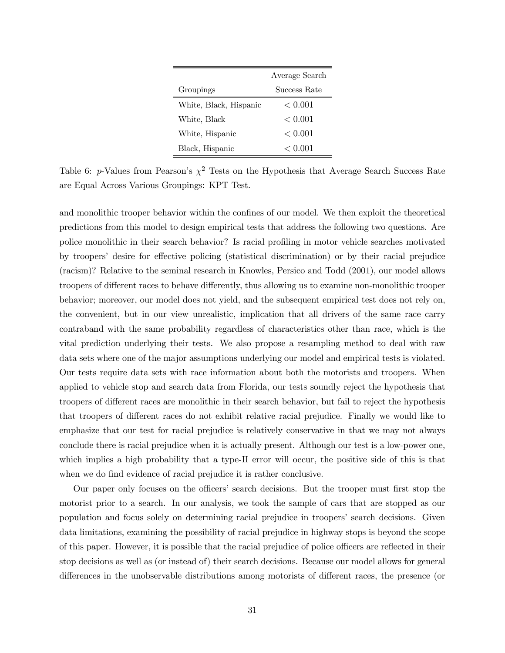|                        | Average Search |
|------------------------|----------------|
| Groupings              | Success Rate   |
| White, Black, Hispanic | < 0.001        |
| White, Black           | < 0.001        |
| White, Hispanic        | < 0.001        |
| Black, Hispanic        | < 0.001        |

Table 6: p-Values from Pearson's  $\chi^2$  Tests on the Hypothesis that Average Search Success Rate are Equal Across Various Groupings: KPT Test.

and monolithic trooper behavior within the confines of our model. We then exploit the theoretical predictions from this model to design empirical tests that address the following two questions. Are police monolithic in their search behavior? Is racial profiling in motor vehicle searches motivated by troopers' desire for effective policing (statistical discrimination) or by their racial prejudice (racism)? Relative to the seminal research in Knowles, Persico and Todd (2001), our model allows troopers of different races to behave differently, thus allowing us to examine non-monolithic trooper behavior; moreover, our model does not yield, and the subsequent empirical test does not rely on, the convenient, but in our view unrealistic, implication that all drivers of the same race carry contraband with the same probability regardless of characteristics other than race, which is the vital prediction underlying their tests. We also propose a resampling method to deal with raw data sets where one of the major assumptions underlying our model and empirical tests is violated. Our tests require data sets with race information about both the motorists and troopers. When applied to vehicle stop and search data from Florida, our tests soundly reject the hypothesis that troopers of different races are monolithic in their search behavior, but fail to reject the hypothesis that troopers of different races do not exhibit relative racial prejudice. Finally we would like to emphasize that our test for racial prejudice is relatively conservative in that we may not always conclude there is racial prejudice when it is actually present. Although our test is a low-power one, which implies a high probability that a type-II error will occur, the positive side of this is that when we do find evidence of racial prejudice it is rather conclusive.

Our paper only focuses on the officers' search decisions. But the trooper must first stop the motorist prior to a search. In our analysis, we took the sample of cars that are stopped as our population and focus solely on determining racial prejudice in troopers' search decisions. Given data limitations, examining the possibility of racial prejudice in highway stops is beyond the scope of this paper. However, it is possible that the racial prejudice of police officers are reflected in their stop decisions as well as (or instead of) their search decisions. Because our model allows for general differences in the unobservable distributions among motorists of different races, the presence (or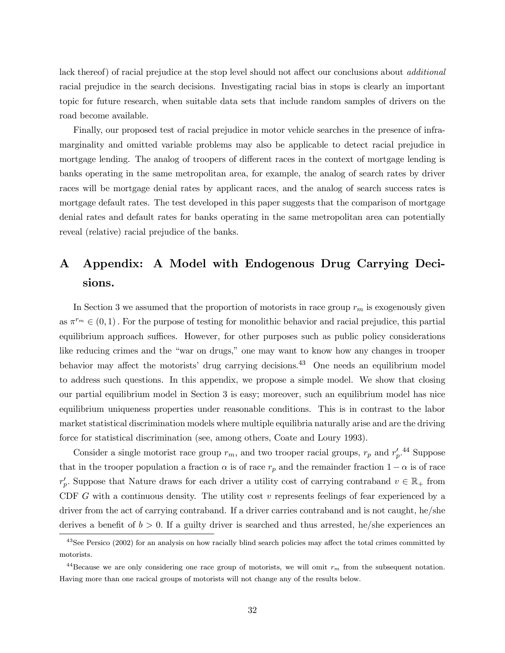lack thereof) of racial prejudice at the stop level should not affect our conclusions about additional racial prejudice in the search decisions. Investigating racial bias in stops is clearly an important topic for future research, when suitable data sets that include random samples of drivers on the road become available.

Finally, our proposed test of racial prejudice in motor vehicle searches in the presence of inframarginality and omitted variable problems may also be applicable to detect racial prejudice in mortgage lending. The analog of troopers of different races in the context of mortgage lending is banks operating in the same metropolitan area, for example, the analog of search rates by driver races will be mortgage denial rates by applicant races, and the analog of search success rates is mortgage default rates. The test developed in this paper suggests that the comparison of mortgage denial rates and default rates for banks operating in the same metropolitan area can potentially reveal (relative) racial prejudice of the banks.

# A Appendix: A Model with Endogenous Drug Carrying Decisions.

In Section 3 we assumed that the proportion of motorists in race group  $r_m$  is exogenously given as  $\pi^{r_m} \in (0,1)$ . For the purpose of testing for monolithic behavior and racial prejudice, this partial equilibrium approach suffices. However, for other purposes such as public policy considerations like reducing crimes and the "war on drugs," one may want to know how any changes in trooper behavior may affect the motorists' drug carrying decisions.<sup>43</sup> One needs an equilibrium model to address such questions. In this appendix, we propose a simple model. We show that closing our partial equilibrium model in Section 3 is easy; moreover, such an equilibrium model has nice equilibrium uniqueness properties under reasonable conditions. This is in contrast to the labor market statistical discrimination models where multiple equilibria naturally arise and are the driving force for statistical discrimination (see, among others, Coate and Loury 1993).

Consider a single motorist race group  $r_m$ , and two trooper racial groups,  $r_p$  and  $r'_p$ .<sup>44</sup> Suppose that in the trooper population a fraction  $\alpha$  is of race  $r_p$  and the remainder fraction  $1 - \alpha$  is of race  $r'_p$ . Suppose that Nature draws for each driver a utility cost of carrying contraband  $v \in \mathbb{R}_+$  from CDF  $G$  with a continuous density. The utility cost  $v$  represents feelings of fear experienced by a driver from the act of carrying contraband. If a driver carries contraband and is not caught, he/she derives a benefit of  $b > 0$ . If a guilty driver is searched and thus arrested, he/she experiences an

 $43$ See Persico (2002) for an analysis on how racially blind search policies may affect the total crimes committed by motorists.

<sup>&</sup>lt;sup>44</sup>Because we are only considering one race group of motorists, we will omit  $r_m$  from the subsequent notation. Having more than one racical groups of motorists will not change any of the results below.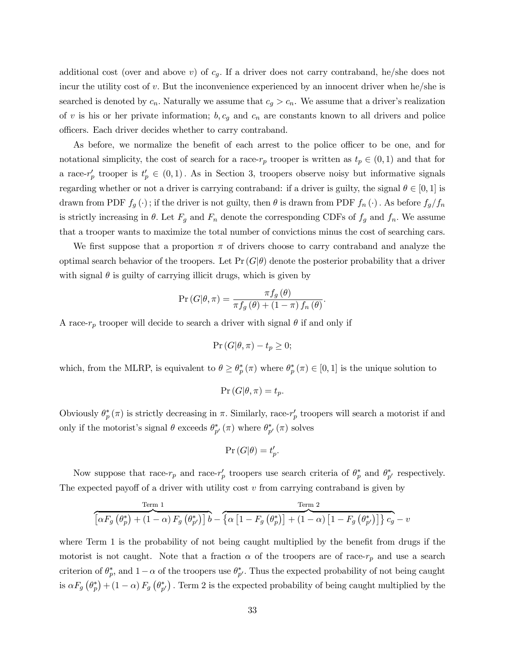additional cost (over and above v) of  $c_q$ . If a driver does not carry contraband, he/she does not incur the utility cost of  $v$ . But the inconvenience experienced by an innocent driver when he/she is searched is denoted by  $c_n$ . Naturally we assume that  $c_g > c_n$ . We assume that a driver's realization of v is his or her private information;  $b, c<sub>g</sub>$  and  $c<sub>n</sub>$  are constants known to all drivers and police officers. Each driver decides whether to carry contraband.

As before, we normalize the benefit of each arrest to the police officer to be one, and for notational simplicity, the cost of search for a race- $r_p$  trooper is written as  $t_p \in (0,1)$  and that for a race- $r'_p$  trooper is  $t'_p \in (0,1)$ . As in Section 3, troopers observe noisy but informative signals regarding whether or not a driver is carrying contraband: if a driver is guilty, the signal  $\theta \in [0,1]$  is drawn from PDF  $f_g(\cdot)$ ; if the driver is not guilty, then  $\theta$  is drawn from PDF  $f_n(\cdot)$ . As before  $f_g/f_n$ is strictly increasing in  $\theta$ . Let  $F_g$  and  $F_n$  denote the corresponding CDFs of  $f_g$  and  $f_n$ . We assume that a trooper wants to maximize the total number of convictions minus the cost of searching cars.

We first suppose that a proportion  $\pi$  of drivers choose to carry contraband and analyze the optimal search behavior of the troopers. Let  $Pr(G|\theta)$  denote the posterior probability that a driver with signal  $\theta$  is guilty of carrying illicit drugs, which is given by

$$
\Pr(G|\theta, \pi) = \frac{\pi f_g(\theta)}{\pi f_g(\theta) + (1 - \pi) f_n(\theta)}
$$

 $\ddot{\phantom{0}}$ 

A race- $r_p$  trooper will decide to search a driver with signal  $\theta$  if and only if

$$
\Pr\left(G|\theta,\pi\right)-t_p\geq 0;
$$

which, from the MLRP, is equivalent to  $\theta \geq \theta_p^*(\pi)$  where  $\theta_p^*(\pi) \in [0,1]$  is the unique solution to

$$
\Pr(G|\theta,\pi) = t_p.
$$

Obviously  $\theta_p^*(\pi)$  is strictly decreasing in  $\pi$ . Similarly, race- $r'_p$  troopers will search a motorist if and only if the motorist's signal  $\theta$  exceeds  $\theta_{p'}^* (\pi)$  where  $\theta_{p'}^* (\pi)$  solves

$$
\Pr\left(G|\theta\right) = t_p'.
$$

Now suppose that race- $r_p$  and race- $r'_p$  troopers use search criteria of  $\theta_p^*$  and  $\theta_{p'}^*$  respectively. The expected payoff of a driver with utility cost  $v$  from carrying contraband is given by

Term 1\n
$$
\underbrace{\overbrace{\left[\alpha F_g\left(\theta_p^*\right) + \left(1-\alpha\right)F_g\left(\theta_{p'}^*\right)\right]b}^{\text{Term 2}} - \underbrace{\overbrace{\left\{\alpha\left[1-F_g\left(\theta_p^*\right)\right] + \left(1-\alpha\right)\left[1-F_g\left(\theta_{p'}^*\right)\right]\right\}c_g}_{}
$$

where Term 1 is the probability of not being caught multiplied by the benefit from drugs if the motorist is not caught. Note that a fraction  $\alpha$  of the troopers are of race- $r_p$  and use a search criterion of  $\theta_p^*$ , and  $1-\alpha$  of the troopers use  $\theta_{p'}^*$ . Thus the expected probability of not being caught is  $\alpha F_g \left(\theta_p^*\right) + (1-\alpha) F_g \left(\theta_{p'}^*\right)$ . Term 2 is the expected probability of being caught multiplied by the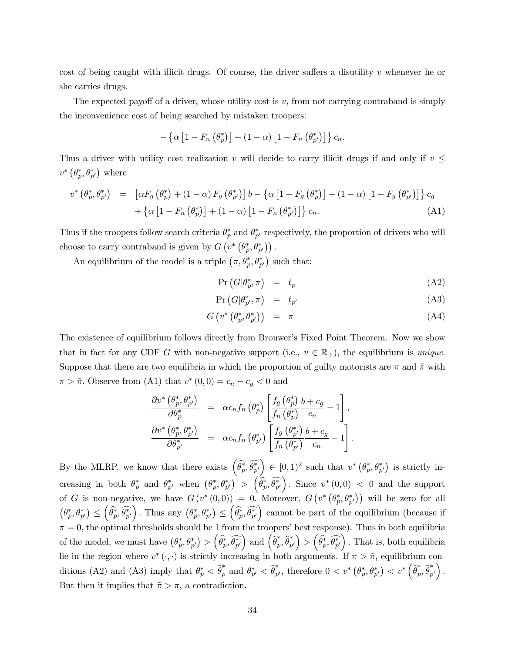cost of being caught with illicit drugs. Of course, the driver suffers a disutility  $v$  whenever he or she carries drugs.

The expected payoff of a driver, whose utility cost is v, from not carrying contraband is simply the inconvenience cost of being searched by mistaken troopers:

$$
-\left\{\alpha \left[1-F_n\left(\theta_p^*\right)\right]+(1-\alpha)\left[1-F_n\left(\theta_{p'}^*\right)\right]\right\}c_n.
$$

Thus a driver with utility cost realization  $v$  will decide to carry illicit drugs if and only if  $v \leq$  $v^*\left(\theta_p^*,\theta_{p'}^*\right)$  where

$$
v^* \left(\theta_p^*, \theta_{p'}^* \right) = \left[ \alpha F_g \left(\theta_p^* \right) + (1 - \alpha) F_g \left(\theta_{p'}^* \right) \right] b - \left\{ \alpha \left[ 1 - F_g \left(\theta_p^* \right) \right] + (1 - \alpha) \left[ 1 - F_g \left(\theta_{p'}^* \right) \right] \right\} c_g
$$
  
+ 
$$
\left\{ \alpha \left[ 1 - F_n \left(\theta_p^* \right) \right] + (1 - \alpha) \left[ 1 - F_n \left(\theta_{p'}^* \right) \right] \right\} c_n.
$$
 (A1)

Thus if the troopers follow search criteria  $\theta_p^*$  and  $\theta_{p'}^*$  respectively, the proportion of drivers who will choose to carry contraband is given by  $G(v^*(\theta_p^*, \theta_{p'}^*))$ .

An equilibrium of the model is a triple  $(\pi, \theta_p^*, \theta_{p'}^*)$  such that:

$$
\Pr\left(G|\theta_p^*,\pi\right) = t_p \tag{A2}
$$

$$
\Pr\left(G|\theta_{p'}^*,\pi\right) = t_{p'} \tag{A3}
$$

$$
G\left(v^*\left(\theta_p^*,\theta_{p'}^*\right)\right) = \pi \tag{A4}
$$

The existence of equilibrium follows directly from Brouwer's Fixed Point Theorem. Now we show that in fact for any CDF G with non-negative support (i.e.,  $v \in \mathbb{R}_+$ ), the equilibrium is unique. Suppose that there are two equilibria in which the proportion of guilty motorists are  $\pi$  and  $\tilde{\pi}$  with  $\pi > \tilde{\pi}$ . Observe from (A1) that  $v^*(0,0) = c_n - c_g < 0$  and

$$
\frac{\partial v^* \left(\theta_p^*, \theta_{p'}^*\right)}{\partial \theta_p^*} = \alpha c_n f_n \left(\theta_p^*\right) \left[ \frac{f_g\left(\theta_p^*\right)}{f_n\left(\theta_p^*\right)} \frac{b+c_g}{c_n} - 1 \right],
$$
  

$$
\frac{\partial v^* \left(\theta_p^*, \theta_{p'}^*\right)}{\partial \theta_{p'}^*} = \alpha c_n f_n \left(\theta_{p'}^*\right) \left[ \frac{f_g\left(\theta_{p'}^*\right)}{f_n\left(\theta_{p'}^*\right)} \frac{b+c_g}{c_n} - 1 \right].
$$

By the MLRP, we know that there exists  $\left(\widehat{\theta_p^*}, \widehat{\theta_{p'}^*}\right)$  $\Big) \in [0,1)^2$  such that  $v^* \left( \theta_p^*, \theta_{p'}^* \right)$  is strictly increasing in both  $\theta_p^*$  and  $\theta_{p'}^*$  when  $(\theta_p^*, \theta_{p'}^*)$  >  $(\hat{\hat{\theta}_p^*}, \hat{\theta}_{p'}^*)$ ). Since  $v^*(0,0) < 0$  and the support of G is non-negative, we have  $G(v^*(0,0)) = 0$ . Moreover,  $G(v^*(\theta_p^*, \theta_{p'}^*))$  will be zero for all  $\left(\theta_p^*,\theta_{p'}^*\right)$   $\leq$  $\left(\widehat{\theta_p^*}, \widehat{\theta_{p'}^*}\right)$ ). Thus any  $(\theta_p^*, \theta_{p'}^*)$   $\leq$  $\left(\widehat{\theta_p^*}, \widehat{\theta_{p'}^*}\right)$ ) cannot be part of the equilibrium (because if  $\pi = 0$ , the optimal thresholds should be 1 from the troopers' best response). Thus in both equilibria of the model, we must have  $(\theta_p^*, \theta_{p'}^*) > (\widehat{\theta_p^*}, \widehat{\theta_{p'}^*})$ and  $(\tilde{\theta}_p^*, \tilde{\theta}_{p'}^*) > (\hat{\theta}_p^*, \hat{\theta}_{p'}^*)$ ). That is, both equilibria lie in the region where  $v^* (\cdot, \cdot)$  is strictly increasing in both arguments. If  $\pi > \tilde{\pi}$ , equilibrium conditions (A2) and (A3) imply that  $\theta_p^* < \tilde{\theta}_p^*$  and  $\theta_{p'}^* < \tilde{\theta}_{p'}^*$ , therefore  $0 < v^* \left( \theta_p^*, \theta_{p'}^* \right) < v^* \left( \tilde{\theta}_p^*, \tilde{\theta}_{p'}^* \right)$ . But then it implies that  $\tilde{\pi} > \pi$ , a contradiction.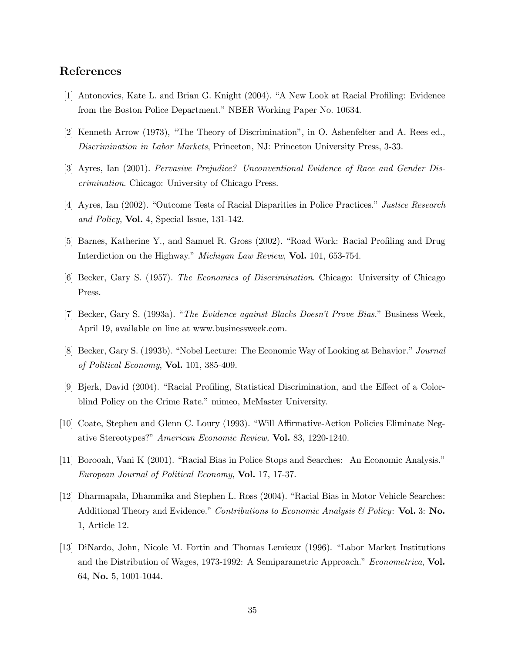# References

- [1] Antonovics, Kate L. and Brian G. Knight (2004). "A New Look at Racial Profiling: Evidence from the Boston Police Department." NBER Working Paper No. 10634.
- [2] Kenneth Arrow (1973), "The Theory of Discrimination", in O. Ashenfelter and A. Rees ed., Discrimination in Labor Markets, Princeton, NJ: Princeton University Press, 3-33.
- [3] Ayres, Ian (2001). Pervasive Prejudice? Unconventional Evidence of Race and Gender Discrimination. Chicago: University of Chicago Press.
- [4] Ayres, Ian (2002). "Outcome Tests of Racial Disparities in Police Practices." Justice Research and Policy, Vol. 4, Special Issue, 131-142.
- [5] Barnes, Katherine Y., and Samuel R. Gross (2002). "Road Work: Racial Profiling and Drug Interdiction on the Highway." Michigan Law Review, Vol. 101, 653-754.
- [6] Becker, Gary S. (1957). The Economics of Discrimination. Chicago: University of Chicago Press.
- [7] Becker, Gary S. (1993a). "The Evidence against Blacks Doesn't Prove Bias." Business Week, April 19, available on line at www.businessweek.com.
- [8] Becker, Gary S. (1993b). "Nobel Lecture: The Economic Way of Looking at Behavior." Journal of Political Economy, Vol. 101, 385-409.
- [9] Bjerk, David (2004). "Racial Profiling, Statistical Discrimination, and the Effect of a Colorblind Policy on the Crime Rate." mimeo, McMaster University.
- [10] Coate, Stephen and Glenn C. Loury (1993). "Will Affirmative-Action Policies Eliminate Negative Stereotypes?" American Economic Review, Vol. 83, 1220-1240.
- [11] Borooah, Vani K (2001). "Racial Bias in Police Stops and Searches: An Economic Analysis." European Journal of Political Economy, Vol. 17, 17-37.
- [12] Dharmapala, Dhammika and Stephen L. Ross (2004). "Racial Bias in Motor Vehicle Searches: Additional Theory and Evidence." Contributions to Economic Analysis  $\mathcal B$  Policy: Vol. 3: No. 1, Article 12.
- [13] DiNardo, John, Nicole M. Fortin and Thomas Lemieux (1996). "Labor Market Institutions and the Distribution of Wages, 1973-1992: A Semiparametric Approach." Econometrica, Vol. 64, No. 5, 1001-1044.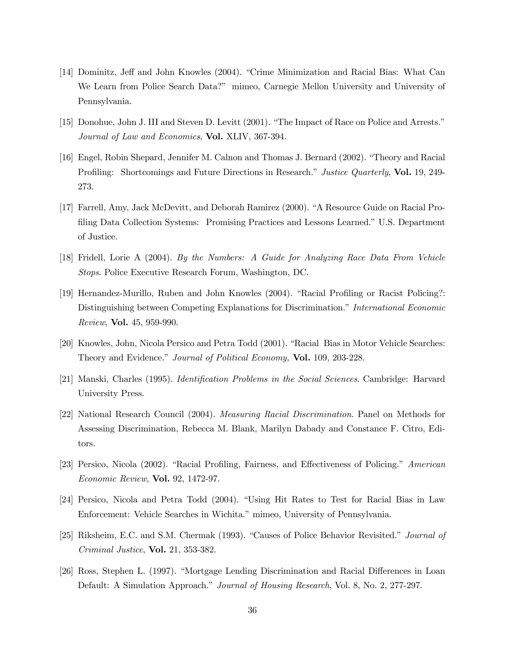- [14] Dominitz, Jeff and John Knowles (2004). "Crime Minimization and Racial Bias: What Can We Learn from Police Search Data?" mimeo, Carnegie Mellon University and University of Pennsylvania.
- [15] Donohue, John J. III and Steven D. Levitt (2001). "The Impact of Race on Police and Arrests." Journal of Law and Economics, **Vol.** XLIV, 367-394.
- [16] Engel, Robin Shepard, Jennifer M. Calnon and Thomas J. Bernard (2002). "Theory and Racial Profiling: Shortcomings and Future Directions in Research." Justice Quarterly, **Vol.** 19, 249-273.
- [17] Farrell, Amy, Jack McDevitt, and Deborah Ramirez (2000). "A Resource Guide on Racial Profiling Data Collection Systems: Promising Practices and Lessons Learned." U.S. Department of Justice.
- [18] Fridell, Lorie A (2004). By the Numbers: A Guide for Analyzing Race Data From Vehicle Stops. Police Executive Research Forum, Washington, DC.
- [19] Hernandez-Murillo, Ruben and John Knowles (2004). "Racial Profiling or Racist Policing?: Distinguishing between Competing Explanations for Discrimination." International Economic Review, Vol. 45, 959-990.
- [20] Knowles, John, Nicola Persico and Petra Todd (2001). "Racial Bias in Motor Vehicle Searches: Theory and Evidence." Journal of Political Economy, Vol. 109, 203-228.
- [21] Manski, Charles (1995). Identification Problems in the Social Sciences. Cambridge: Harvard University Press.
- [22] National Research Council (2004). Measuring Racial Discrimination. Panel on Methods for Assessing Discrimination, Rebecca M. Blank, Marilyn Dabady and Constance F. Citro, Editors.
- [23] Persico, Nicola (2002). "Racial Profiling, Fairness, and Effectiveness of Policing." American Economic Review, Vol. 92, 1472-97.
- [24] Persico, Nicola and Petra Todd (2004). "Using Hit Rates to Test for Racial Bias in Law Enforcement: Vehicle Searches in Wichita." mimeo, University of Pennsylvania.
- [25] Riksheim, E.C. and S.M. Chermak (1993). "Causes of Police Behavior Revisited." Journal of Criminal Justice, Vol. 21, 353-382.
- [26] Ross, Stephen L. (1997). "Mortgage Lending Discrimination and Racial Differences in Loan Default: A Simulation Approach." Journal of Housing Research, Vol. 8, No. 2, 277-297.